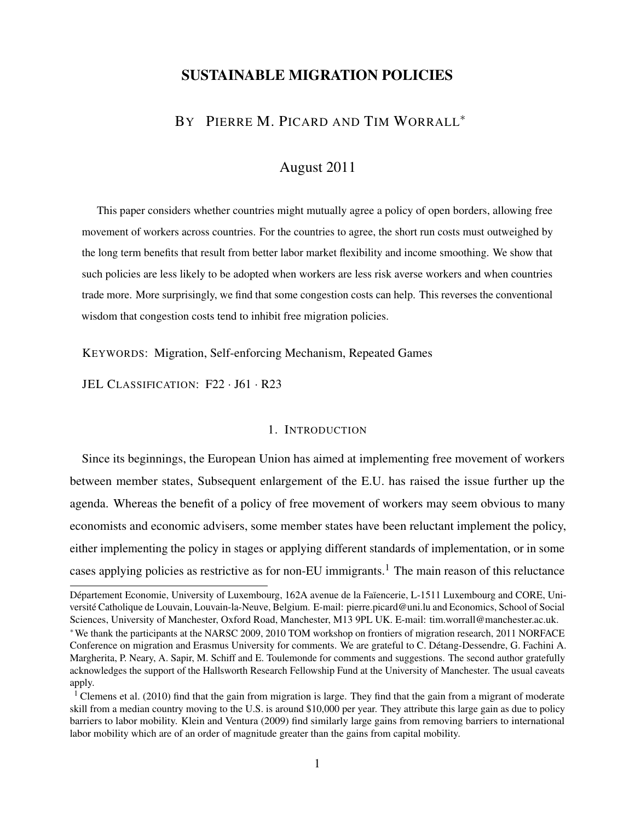## SUSTAINABLE MIGRATION POLICIES

# BY PIERRE M. PICARD AND TIM WORRALL<sup>\*</sup>

# August 2011

This paper considers whether countries might mutually agree a policy of open borders, allowing free movement of workers across countries. For the countries to agree, the short run costs must outweighed by the long term benefits that result from better labor market flexibility and income smoothing. We show that such policies are less likely to be adopted when workers are less risk averse workers and when countries trade more. More surprisingly, we find that some congestion costs can help. This reverses the conventional wisdom that congestion costs tend to inhibit free migration policies.

KEYWORDS: Migration, Self-enforcing Mechanism, Repeated Games

JEL CLASSIFICATION: F22 · J61 · R23

### 1. INTRODUCTION

Since its beginnings, the European Union has aimed at implementing free movement of workers between member states, Subsequent enlargement of the E.U. has raised the issue further up the agenda. Whereas the benefit of a policy of free movement of workers may seem obvious to many economists and economic advisers, some member states have been reluctant implement the policy, either implementing the policy in stages or applying different standards of implementation, or in some cases applying policies as restrictive as for non-EU immigrants.<sup>[1](#page-0-0)</sup> The main reason of this reluctance

Département Economie, University of Luxembourg, 162A avenue de la Faïencerie, L-1511 Luxembourg and CORE, Université Catholique de Louvain, Louvain-la-Neuve, Belgium. E-mail: pierre.picard@uni.lu and Economics, School of Social Sciences, University of Manchester, Oxford Road, Manchester, M13 9PL UK. E-mail: tim.worrall@manchester.ac.uk.

<sup>∗</sup>We thank the participants at the NARSC 2009, 2010 TOM workshop on frontiers of migration research, 2011 NORFACE Conference on migration and Erasmus University for comments. We are grateful to C. Détang-Dessendre, G. Fachini A. Margherita, P. Neary, A. Sapir, M. Schiff and E. Toulemonde for comments and suggestions. The second author gratefully acknowledges the support of the Hallsworth Research Fellowship Fund at the University of Manchester. The usual caveats apply.

<span id="page-0-0"></span><sup>&</sup>lt;sup>1</sup> [Clemens et al.](#page-42-0) [\(2010\)](#page-42-0) find that the gain from migration is large. They find that the gain from a migrant of moderate skill from a median country moving to the U.S. is around \$10,000 per year. They attribute this large gain as due to policy barriers to labor mobility. [Klein and Ventura](#page-42-1) [\(2009\)](#page-42-1) find similarly large gains from removing barriers to international labor mobility which are of an order of magnitude greater than the gains from capital mobility.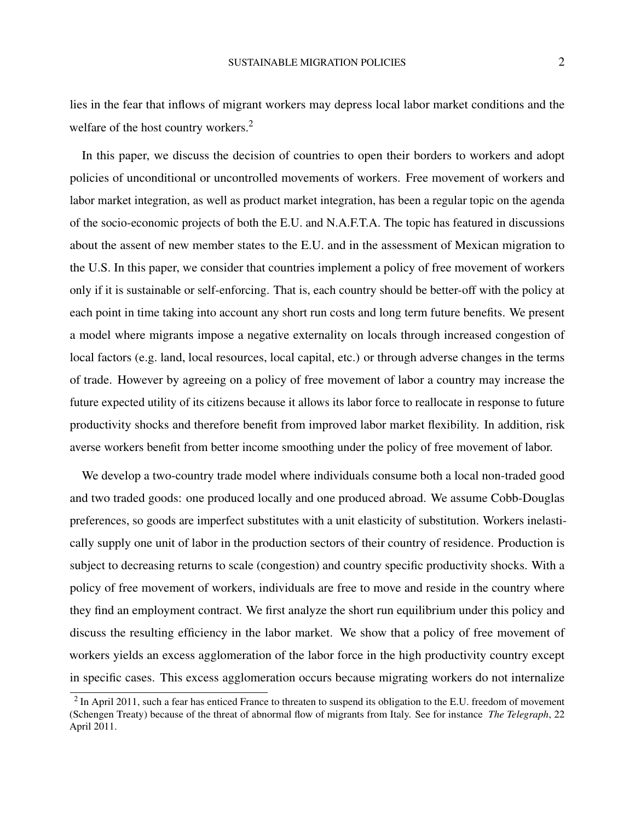lies in the fear that inflows of migrant workers may depress local labor market conditions and the welfare of the host country workers.<sup>[2](#page-1-0)</sup>

In this paper, we discuss the decision of countries to open their borders to workers and adopt policies of unconditional or uncontrolled movements of workers. Free movement of workers and labor market integration, as well as product market integration, has been a regular topic on the agenda of the socio-economic projects of both the E.U. and N.A.F.T.A. The topic has featured in discussions about the assent of new member states to the E.U. and in the assessment of Mexican migration to the U.S. In this paper, we consider that countries implement a policy of free movement of workers only if it is sustainable or self-enforcing. That is, each country should be better-off with the policy at each point in time taking into account any short run costs and long term future benefits. We present a model where migrants impose a negative externality on locals through increased congestion of local factors (e.g. land, local resources, local capital, etc.) or through adverse changes in the terms of trade. However by agreeing on a policy of free movement of labor a country may increase the future expected utility of its citizens because it allows its labor force to reallocate in response to future productivity shocks and therefore benefit from improved labor market flexibility. In addition, risk averse workers benefit from better income smoothing under the policy of free movement of labor.

We develop a two-country trade model where individuals consume both a local non-traded good and two traded goods: one produced locally and one produced abroad. We assume Cobb-Douglas preferences, so goods are imperfect substitutes with a unit elasticity of substitution. Workers inelastically supply one unit of labor in the production sectors of their country of residence. Production is subject to decreasing returns to scale (congestion) and country specific productivity shocks. With a policy of free movement of workers, individuals are free to move and reside in the country where they find an employment contract. We first analyze the short run equilibrium under this policy and discuss the resulting efficiency in the labor market. We show that a policy of free movement of workers yields an excess agglomeration of the labor force in the high productivity country except in specific cases. This excess agglomeration occurs because migrating workers do not internalize

<span id="page-1-0"></span> $2$  In April 2011, such a fear has enticed France to threaten to suspend its obligation to the E.U. freedom of movement (Schengen Treaty) because of the threat of abnormal flow of migrants from Italy. See for instance *The Telegraph*, 22 April 2011.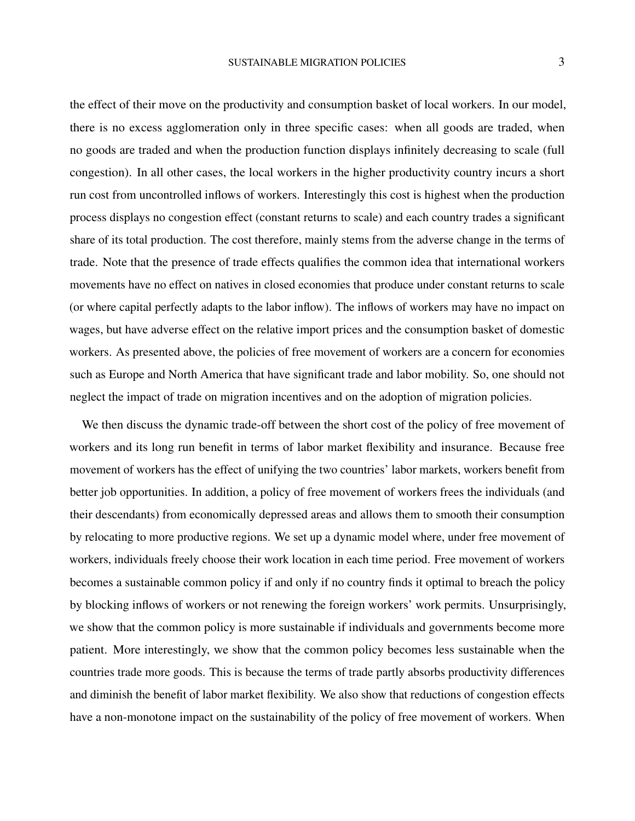the effect of their move on the productivity and consumption basket of local workers. In our model, there is no excess agglomeration only in three specific cases: when all goods are traded, when no goods are traded and when the production function displays infinitely decreasing to scale (full congestion). In all other cases, the local workers in the higher productivity country incurs a short run cost from uncontrolled inflows of workers. Interestingly this cost is highest when the production process displays no congestion effect (constant returns to scale) and each country trades a significant share of its total production. The cost therefore, mainly stems from the adverse change in the terms of trade. Note that the presence of trade effects qualifies the common idea that international workers movements have no effect on natives in closed economies that produce under constant returns to scale (or where capital perfectly adapts to the labor inflow). The inflows of workers may have no impact on wages, but have adverse effect on the relative import prices and the consumption basket of domestic workers. As presented above, the policies of free movement of workers are a concern for economies such as Europe and North America that have significant trade and labor mobility. So, one should not neglect the impact of trade on migration incentives and on the adoption of migration policies.

We then discuss the dynamic trade-off between the short cost of the policy of free movement of workers and its long run benefit in terms of labor market flexibility and insurance. Because free movement of workers has the effect of unifying the two countries' labor markets, workers benefit from better job opportunities. In addition, a policy of free movement of workers frees the individuals (and their descendants) from economically depressed areas and allows them to smooth their consumption by relocating to more productive regions. We set up a dynamic model where, under free movement of workers, individuals freely choose their work location in each time period. Free movement of workers becomes a sustainable common policy if and only if no country finds it optimal to breach the policy by blocking inflows of workers or not renewing the foreign workers' work permits. Unsurprisingly, we show that the common policy is more sustainable if individuals and governments become more patient. More interestingly, we show that the common policy becomes less sustainable when the countries trade more goods. This is because the terms of trade partly absorbs productivity differences and diminish the benefit of labor market flexibility. We also show that reductions of congestion effects have a non-monotone impact on the sustainability of the policy of free movement of workers. When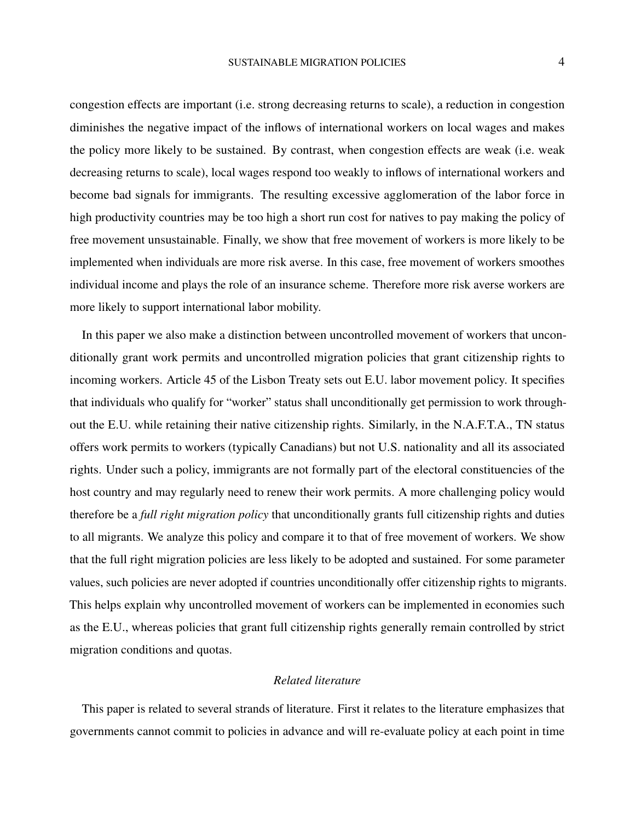congestion effects are important (i.e. strong decreasing returns to scale), a reduction in congestion diminishes the negative impact of the inflows of international workers on local wages and makes the policy more likely to be sustained. By contrast, when congestion effects are weak (i.e. weak decreasing returns to scale), local wages respond too weakly to inflows of international workers and become bad signals for immigrants. The resulting excessive agglomeration of the labor force in high productivity countries may be too high a short run cost for natives to pay making the policy of free movement unsustainable. Finally, we show that free movement of workers is more likely to be implemented when individuals are more risk averse. In this case, free movement of workers smoothes individual income and plays the role of an insurance scheme. Therefore more risk averse workers are more likely to support international labor mobility.

In this paper we also make a distinction between uncontrolled movement of workers that unconditionally grant work permits and uncontrolled migration policies that grant citizenship rights to incoming workers. Article 45 of the Lisbon Treaty sets out E.U. labor movement policy. It specifies that individuals who qualify for "worker" status shall unconditionally get permission to work throughout the E.U. while retaining their native citizenship rights. Similarly, in the N.A.F.T.A., TN status offers work permits to workers (typically Canadians) but not U.S. nationality and all its associated rights. Under such a policy, immigrants are not formally part of the electoral constituencies of the host country and may regularly need to renew their work permits. A more challenging policy would therefore be a *full right migration policy* that unconditionally grants full citizenship rights and duties to all migrants. We analyze this policy and compare it to that of free movement of workers. We show that the full right migration policies are less likely to be adopted and sustained. For some parameter values, such policies are never adopted if countries unconditionally offer citizenship rights to migrants. This helps explain why uncontrolled movement of workers can be implemented in economies such as the E.U., whereas policies that grant full citizenship rights generally remain controlled by strict migration conditions and quotas.

### *Related literature*

This paper is related to several strands of literature. First it relates to the literature emphasizes that governments cannot commit to policies in advance and will re-evaluate policy at each point in time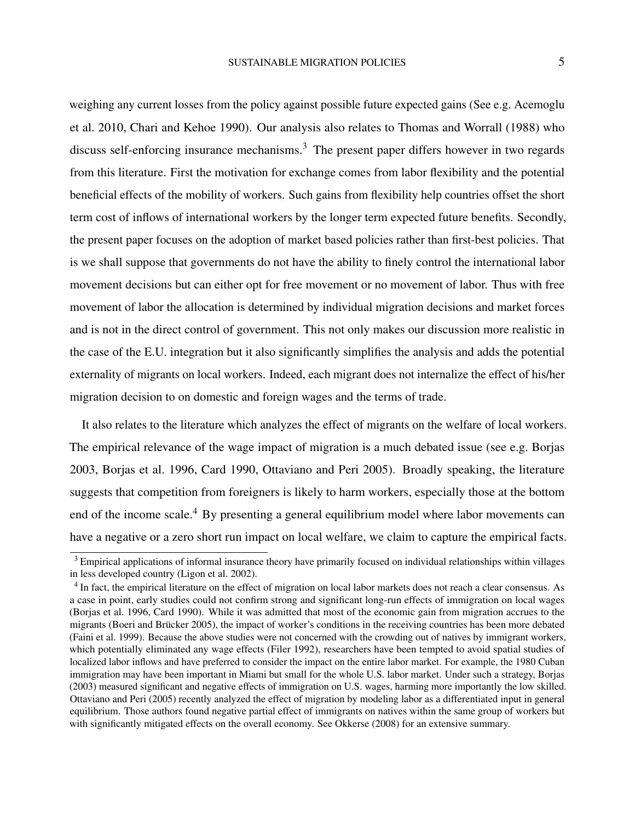weighing any current losses from the policy against possible future expected gains (See e.g. [Acemoglu](#page-41-0) [et al.](#page-41-0) [2010,](#page-41-0) [Chari and Kehoe](#page-41-1) [1990\)](#page-41-1). Our analysis also relates to [Thomas and Worrall](#page-44-0) [\(1988\)](#page-44-0) who discuss self-enforcing insurance mechanisms.<sup>[3](#page-4-0)</sup> The present paper differs however in two regards from this literature. First the motivation for exchange comes from labor flexibility and the potential beneficial effects of the mobility of workers. Such gains from flexibility help countries offset the short term cost of inflows of international workers by the longer term expected future benefits. Secondly, the present paper focuses on the adoption of market based policies rather than first-best policies. That is we shall suppose that governments do not have the ability to finely control the international labor movement decisions but can either opt for free movement or no movement of labor. Thus with free movement of labor the allocation is determined by individual migration decisions and market forces and is not in the direct control of government. This not only makes our discussion more realistic in the case of the E.U. integration but it also significantly simplifies the analysis and adds the potential externality of migrants on local workers. Indeed, each migrant does not internalize the effect of his/her migration decision to on domestic and foreign wages and the terms of trade.

It also relates to the literature which analyzes the effect of migrants on the welfare of local workers. The empirical relevance of the wage impact of migration is a much debated issue (see e.g. [Borjas](#page-41-2) [2003,](#page-41-2) [Borjas et al.](#page-41-3) [1996,](#page-41-3) [Card](#page-41-4) [1990,](#page-41-4) [Ottaviano and Peri](#page-43-0) [2005\)](#page-43-0). Broadly speaking, the literature suggests that competition from foreigners is likely to harm workers, especially those at the bottom end of the income scale.<sup>[4](#page-4-1)</sup> By presenting a general equilibrium model where labor movements can have a negative or a zero short run impact on local welfare, we claim to capture the empirical facts.

<span id="page-4-0"></span> $3$  Empirical applications of informal insurance theory have primarily focused on individual relationships within villages in less developed country [\(Ligon et al.](#page-43-1) [2002\)](#page-43-1).

<span id="page-4-1"></span><sup>&</sup>lt;sup>4</sup> In fact, the empirical literature on the effect of migration on local labor markets does not reach a clear consensus. As a case in point, early studies could not confirm strong and significant long-run effects of immigration on local wages [\(Borjas et al.](#page-41-3) [1996,](#page-41-3) [Card](#page-41-4) [1990\)](#page-41-4). While it was admitted that most of the economic gain from migration accrues to the migrants [\(Boeri and Brücker](#page-41-5) [2005\)](#page-41-5), the impact of worker's conditions in the receiving countries has been more debated [\(Faini et al.](#page-42-2) [1999\)](#page-42-2). Because the above studies were not concerned with the crowding out of natives by immigrant workers, which potentially eliminated any wage effects [\(Filer](#page-42-3) [1992\)](#page-42-3), researchers have been tempted to avoid spatial studies of localized labor inflows and have preferred to consider the impact on the entire labor market. For example, the 1980 Cuban immigration may have been important in Miami but small for the whole U.S. labor market. Under such a strategy, [Borjas](#page-41-2) [\(2003\)](#page-41-2) measured significant and negative effects of immigration on U.S. wages, harming more importantly the low skilled. [Ottaviano and Peri](#page-43-0) [\(2005\)](#page-43-0) recently analyzed the effect of migration by modeling labor as a differentiated input in general equilibrium. Those authors found negative partial effect of immigrants on natives within the same group of workers but with significantly mitigated effects on the overall economy. See [Okkerse](#page-43-2) [\(2008\)](#page-43-2) for an extensive summary.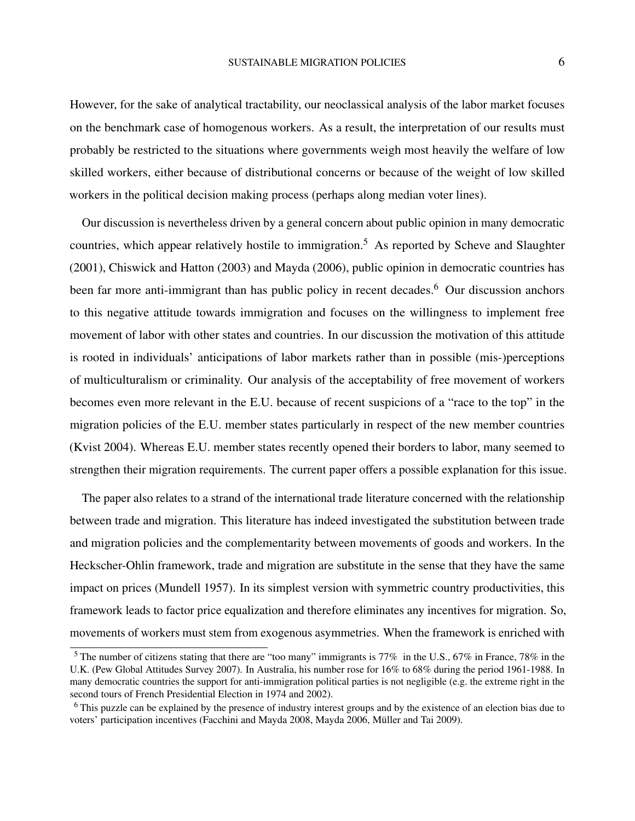However, for the sake of analytical tractability, our neoclassical analysis of the labor market focuses on the benchmark case of homogenous workers. As a result, the interpretation of our results must probably be restricted to the situations where governments weigh most heavily the welfare of low skilled workers, either because of distributional concerns or because of the weight of low skilled workers in the political decision making process (perhaps along median voter lines).

Our discussion is nevertheless driven by a general concern about public opinion in many democratic countries, which appear relatively hostile to immigration.[5](#page-5-0) As reported by [Scheve and Slaughter](#page-44-1) [\(2001\)](#page-44-1), [Chiswick and Hatton](#page-41-6) [\(2003\)](#page-41-6) and [Mayda](#page-43-3) [\(2006\)](#page-43-3), public opinion in democratic countries has been far more anti-immigrant than has public policy in recent decades.<sup>[6](#page-5-1)</sup> Our discussion anchors to this negative attitude towards immigration and focuses on the willingness to implement free movement of labor with other states and countries. In our discussion the motivation of this attitude is rooted in individuals' anticipations of labor markets rather than in possible (mis-)perceptions of multiculturalism or criminality. Our analysis of the acceptability of free movement of workers becomes even more relevant in the E.U. because of recent suspicions of a "race to the top" in the migration policies of the E.U. member states particularly in respect of the new member countries [\(Kvist](#page-42-4) [2004\)](#page-42-4). Whereas E.U. member states recently opened their borders to labor, many seemed to strengthen their migration requirements. The current paper offers a possible explanation for this issue.

The paper also relates to a strand of the international trade literature concerned with the relationship between trade and migration. This literature has indeed investigated the substitution between trade and migration policies and the complementarity between movements of goods and workers. In the Heckscher-Ohlin framework, trade and migration are substitute in the sense that they have the same impact on prices [\(Mundell](#page-43-4) [1957\)](#page-43-4). In its simplest version with symmetric country productivities, this framework leads to factor price equalization and therefore eliminates any incentives for migration. So, movements of workers must stem from exogenous asymmetries. When the framework is enriched with

<span id="page-5-0"></span> $5$  The number of citizens stating that there are "too many" immigrants is 77% in the U.S., 67% in France, 78% in the U.K. [\(Pew Global Attitudes Survey](#page-43-5) [2007\)](#page-43-5). In Australia, his number rose for 16% to 68% during the period 1961-1988. In many democratic countries the support for anti-immigration political parties is not negligible (e.g. the extreme right in the second tours of French Presidential Election in 1974 and 2002).

<span id="page-5-1"></span><sup>6</sup> This puzzle can be explained by the presence of industry interest groups and by the existence of an election bias due to voters' participation incentives [\(Facchini and Mayda](#page-42-5) [2008,](#page-42-5) [Mayda](#page-43-3) [2006,](#page-43-3) [Müller and Tai](#page-43-6) [2009\)](#page-43-6).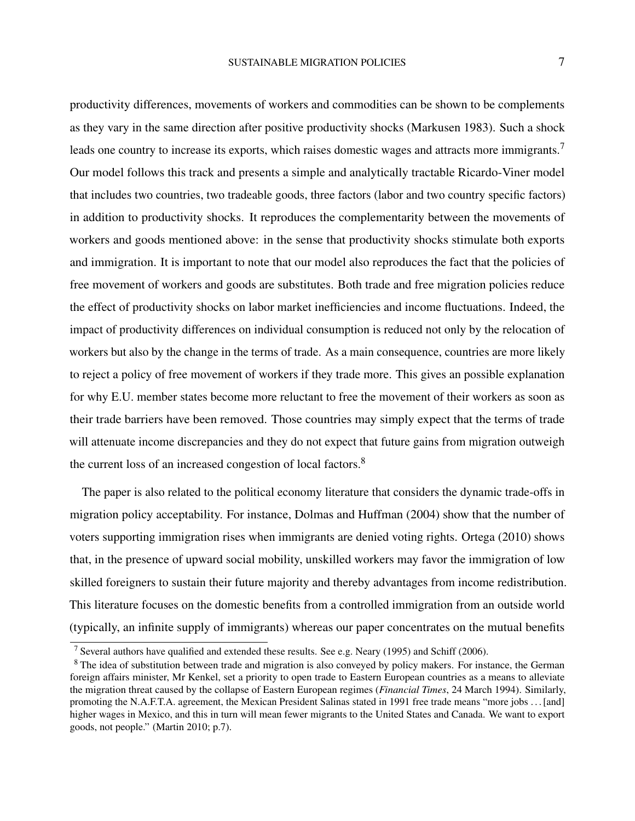productivity differences, movements of workers and commodities can be shown to be complements as they vary in the same direction after positive productivity shocks [\(Markusen](#page-43-7) [1983\)](#page-43-7). Such a shock leads one country to increase its exports, which raises domestic wages and attracts more immigrants.<sup>[7](#page-6-0)</sup> Our model follows this track and presents a simple and analytically tractable Ricardo-Viner model that includes two countries, two tradeable goods, three factors (labor and two country specific factors) in addition to productivity shocks. It reproduces the complementarity between the movements of workers and goods mentioned above: in the sense that productivity shocks stimulate both exports and immigration. It is important to note that our model also reproduces the fact that the policies of free movement of workers and goods are substitutes. Both trade and free migration policies reduce the effect of productivity shocks on labor market inefficiencies and income fluctuations. Indeed, the impact of productivity differences on individual consumption is reduced not only by the relocation of workers but also by the change in the terms of trade. As a main consequence, countries are more likely to reject a policy of free movement of workers if they trade more. This gives an possible explanation for why E.U. member states become more reluctant to free the movement of their workers as soon as their trade barriers have been removed. Those countries may simply expect that the terms of trade will attenuate income discrepancies and they do not expect that future gains from migration outweigh the current loss of an increased congestion of local factors.<sup>[8](#page-6-1)</sup>

The paper is also related to the political economy literature that considers the dynamic trade-offs in migration policy acceptability. For instance, [Dolmas and Huffman](#page-42-6) [\(2004\)](#page-42-6) show that the number of voters supporting immigration rises when immigrants are denied voting rights. [Ortega](#page-43-8) [\(2010\)](#page-43-8) shows that, in the presence of upward social mobility, unskilled workers may favor the immigration of low skilled foreigners to sustain their future majority and thereby advantages from income redistribution. This literature focuses on the domestic benefits from a controlled immigration from an outside world (typically, an infinite supply of immigrants) whereas our paper concentrates on the mutual benefits

<span id="page-6-0"></span><sup>7</sup> Several authors have qualified and extended these results. See e.g. [Neary](#page-43-9) [\(1995\)](#page-43-9) and [Schiff](#page-44-2) [\(2006\)](#page-44-2).

<span id="page-6-1"></span><sup>&</sup>lt;sup>8</sup> The idea of substitution between trade and migration is also conveyed by policy makers. For instance, the German foreign affairs minister, Mr Kenkel, set a priority to open trade to Eastern European countries as a means to alleviate the migration threat caused by the collapse of Eastern European regimes [\(](#page-43-10)*Financial Times*, 24 March 1994). Similarly, promoting the N.A.F.T.A. agreement, the Mexican President Salinas stated in 1991 free trade means "more jobs . . . [and] higher wages in Mexico, and this in turn will mean fewer migrants to the United States and Canada. We want to export goods, not people." [\(Martin](#page-43-11) [2010;](#page-43-11) p.7).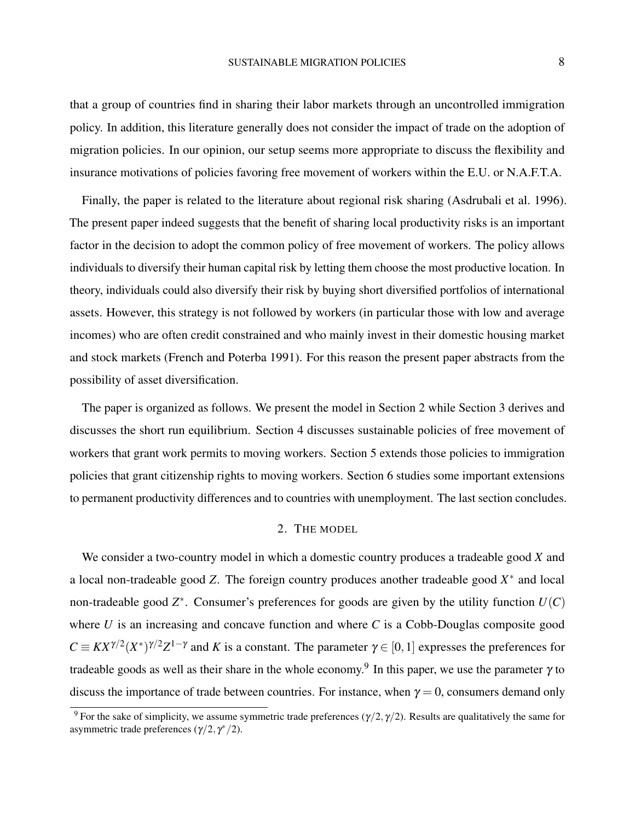that a group of countries find in sharing their labor markets through an uncontrolled immigration policy. In addition, this literature generally does not consider the impact of trade on the adoption of migration policies. In our opinion, our setup seems more appropriate to discuss the flexibility and insurance motivations of policies favoring free movement of workers within the E.U. or N.A.F.T.A.

Finally, the paper is related to the literature about regional risk sharing [\(Asdrubali et al.](#page-41-7) [1996\)](#page-41-7). The present paper indeed suggests that the benefit of sharing local productivity risks is an important factor in the decision to adopt the common policy of free movement of workers. The policy allows individuals to diversify their human capital risk by letting them choose the most productive location. In theory, individuals could also diversify their risk by buying short diversified portfolios of international assets. However, this strategy is not followed by workers (in particular those with low and average incomes) who are often credit constrained and who mainly invest in their domestic housing market and stock markets [\(French and Poterba](#page-42-7) [1991\)](#page-42-7). For this reason the present paper abstracts from the possibility of asset diversification.

The paper is organized as follows. We present the model in Section 2 while Section 3 derives and discusses the short run equilibrium. Section 4 discusses sustainable policies of free movement of workers that grant work permits to moving workers. Section 5 extends those policies to immigration policies that grant citizenship rights to moving workers. Section 6 studies some important extensions to permanent productivity differences and to countries with unemployment. The last section concludes.

### 2. THE MODEL

We consider a two-country model in which a domestic country produces a tradeable good *X* and a local non-tradeable good  $Z$ . The foreign country produces another tradeable good  $X^*$  and local non-tradeable good *Z* ∗ . Consumer's preferences for goods are given by the utility function *U*(*C*) where *U* is an increasing and concave function and where *C* is a Cobb-Douglas composite good  $C \equiv K X^{\gamma/2} (X^*)^{\gamma/2} Z^{1-\gamma}$  and *K* is a constant. The parameter  $\gamma \in [0,1]$  expresses the preferences for tradeable goods as well as their share in the whole economy.<sup>[9](#page-7-0)</sup> In this paper, we use the parameter  $\gamma$  to discuss the importance of trade between countries. For instance, when  $\gamma = 0$ , consumers demand only

<span id="page-7-0"></span><sup>&</sup>lt;sup>9</sup> For the sake of simplicity, we assume symmetric trade preferences  $(\gamma/2, \gamma/2)$ . Results are qualitatively the same for asymmetric trade preferences  $(\gamma/2, \gamma^*/2)$ .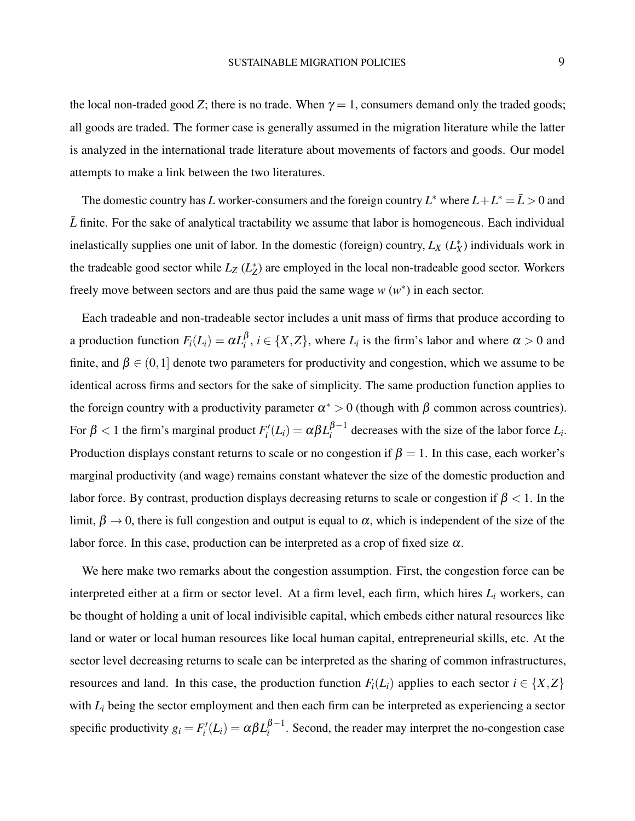the local non-traded good *Z*; there is no trade. When  $\gamma = 1$ , consumers demand only the traded goods; all goods are traded. The former case is generally assumed in the migration literature while the latter is analyzed in the international trade literature about movements of factors and goods. Our model attempts to make a link between the two literatures.

The domestic country has *L* worker-consumers and the foreign country  $L^*$  where  $L + L^* = \bar{L} > 0$  and  $\bar{L}$  finite. For the sake of analytical tractability we assume that labor is homogeneous. Each individual inelastically supplies one unit of labor. In the domestic (foreign) country,  $L_X(L_X^*)$  individuals work in the tradeable good sector while  $L_z(L_z^*)$  are employed in the local non-tradeable good sector. Workers freely move between sectors and are thus paid the same wage  $w(w^*)$  in each sector.

Each tradeable and non-tradeable sector includes a unit mass of firms that produce according to a production function  $F_i(L_i) = \alpha L_i^{\beta}$  $i^{\rho}$ ,  $i \in \{X, Z\}$ , where  $L_i$  is the firm's labor and where  $\alpha > 0$  and finite, and  $\beta \in (0,1]$  denote two parameters for productivity and congestion, which we assume to be identical across firms and sectors for the sake of simplicity. The same production function applies to the foreign country with a productivity parameter  $\alpha^* > 0$  (though with  $\beta$  common across countries). For  $\beta < 1$  the firm's marginal product  $F_i'(L_i) = \alpha \beta L_i^{\beta - 1}$  $\int_{i}^{p-1}$  decreases with the size of the labor force  $L_i$ . Production displays constant returns to scale or no congestion if  $\beta = 1$ . In this case, each worker's marginal productivity (and wage) remains constant whatever the size of the domestic production and labor force. By contrast, production displays decreasing returns to scale or congestion if  $\beta$  < 1. In the limit,  $\beta \to 0$ , there is full congestion and output is equal to  $\alpha$ , which is independent of the size of the labor force. In this case, production can be interpreted as a crop of fixed size  $\alpha$ .

We here make two remarks about the congestion assumption. First, the congestion force can be interpreted either at a firm or sector level. At a firm level, each firm, which hires *L<sup>i</sup>* workers, can be thought of holding a unit of local indivisible capital, which embeds either natural resources like land or water or local human resources like local human capital, entrepreneurial skills, etc. At the sector level decreasing returns to scale can be interpreted as the sharing of common infrastructures, resources and land. In this case, the production function  $F_i(L_i)$  applies to each sector  $i \in \{X, Z\}$ with  $L_i$  being the sector employment and then each firm can be interpreted as experiencing a sector specific productivity  $g_i = F'_i(L_i) = \alpha \beta L_i^{\beta - 1}$  $\frac{p-1}{i}$ . Second, the reader may interpret the no-congestion case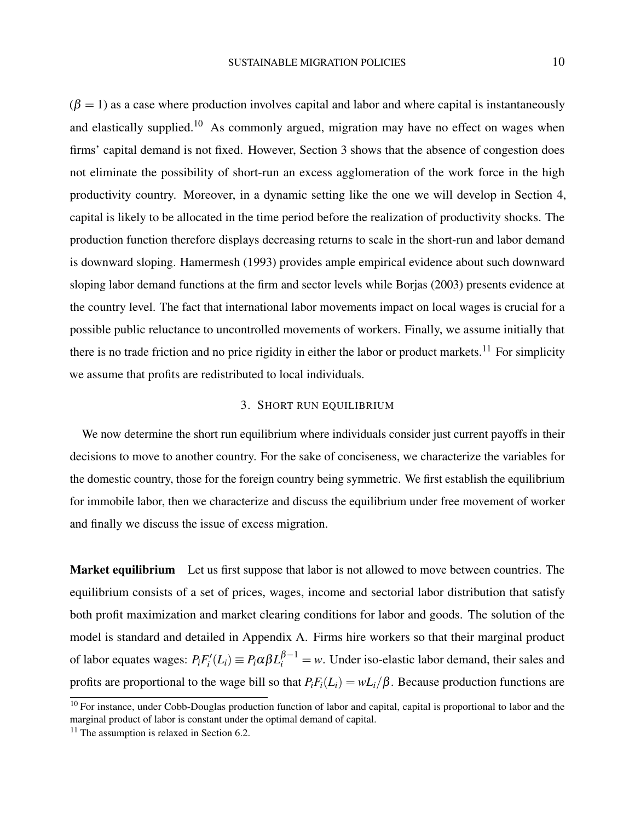$(\beta = 1)$  as a case where production involves capital and labor and where capital is instantaneously and elastically supplied.<sup>[10](#page-9-0)</sup> As commonly argued, migration may have no effect on wages when firms' capital demand is not fixed. However, Section 3 shows that the absence of congestion does not eliminate the possibility of short-run an excess agglomeration of the work force in the high productivity country. Moreover, in a dynamic setting like the one we will develop in Section 4, capital is likely to be allocated in the time period before the realization of productivity shocks. The production function therefore displays decreasing returns to scale in the short-run and labor demand is downward sloping. [Hamermesh](#page-42-8) [\(1993\)](#page-42-8) provides ample empirical evidence about such downward sloping labor demand functions at the firm and sector levels while [Borjas](#page-41-2) [\(2003\)](#page-41-2) presents evidence at the country level. The fact that international labor movements impact on local wages is crucial for a possible public reluctance to uncontrolled movements of workers. Finally, we assume initially that there is no trade friction and no price rigidity in either the labor or product markets.<sup>[11](#page-9-1)</sup> For simplicity we assume that profits are redistributed to local individuals.

### 3. SHORT RUN EQUILIBRIUM

We now determine the short run equilibrium where individuals consider just current payoffs in their decisions to move to another country. For the sake of conciseness, we characterize the variables for the domestic country, those for the foreign country being symmetric. We first establish the equilibrium for immobile labor, then we characterize and discuss the equilibrium under free movement of worker and finally we discuss the issue of excess migration.

Market equilibrium Let us first suppose that labor is not allowed to move between countries. The equilibrium consists of a set of prices, wages, income and sectorial labor distribution that satisfy both profit maximization and market clearing conditions for labor and goods. The solution of the model is standard and detailed in [Appendix A.](#page-44-3) Firms hire workers so that their marginal product of labor equates wages:  $P_i F'_i(L_i) \equiv P_i \alpha \beta L_i^{\beta-1} = w$ . Under iso-elastic labor demand, their sales and profits are proportional to the wage bill so that  $P_iF_i(L_i) = wL_i/\beta$ . Because production functions are

<span id="page-9-0"></span><sup>&</sup>lt;sup>10</sup> For instance, under Cobb-Douglas production function of labor and capital, capital is proportional to labor and the marginal product of labor is constant under the optimal demand of capital.

<span id="page-9-1"></span> $11$  The assumption is relaxed in Section 6.2.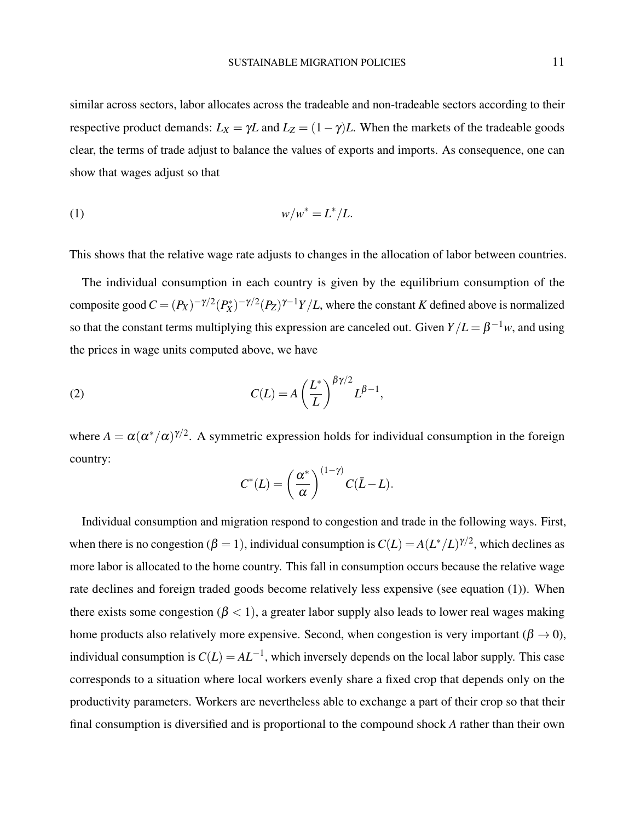similar across sectors, labor allocates across the tradeable and non-tradeable sectors according to their respective product demands:  $L_X = \gamma L$  and  $L_Z = (1 - \gamma)L$ . When the markets of the tradeable goods clear, the terms of trade adjust to balance the values of exports and imports. As consequence, one can show that wages adjust so that

<span id="page-10-0"></span>
$$
(1) \t\t\t w/w^* = L^*/L.
$$

This shows that the relative wage rate adjusts to changes in the allocation of labor between countries.

The individual consumption in each country is given by the equilibrium consumption of the composite good  $C = (P_X)^{-\gamma/2} (P_X^*)^{-\gamma/2} (P_Z)^{\gamma-1} Y/L$ , where the constant *K* defined above is normalized so that the constant terms multiplying this expression are canceled out. Given  $Y/L = \beta^{-1}w$ , and using the prices in wage units computed above, we have

(2) 
$$
C(L) = A \left(\frac{L^*}{L}\right)^{\beta \gamma/2} L^{\beta - 1},
$$

where  $A = \alpha (\alpha^*/\alpha)^{\gamma/2}$ . A symmetric expression holds for individual consumption in the foreign country:

<span id="page-10-1"></span>
$$
C^*(L) = \left(\frac{\alpha^*}{\alpha}\right)^{(1-\gamma)} C(\bar{L}-L).
$$

Individual consumption and migration respond to congestion and trade in the following ways. First, when there is no congestion ( $\beta = 1$ ), individual consumption is  $C(L) = A(L^*/L)^{\gamma/2}$ , which declines as more labor is allocated to the home country. This fall in consumption occurs because the relative wage rate declines and foreign traded goods become relatively less expensive (see equation [\(1\)](#page-10-0)). When there exists some congestion ( $\beta$  < 1), a greater labor supply also leads to lower real wages making home products also relatively more expensive. Second, when congestion is very important ( $\beta \rightarrow 0$ ), individual consumption is  $C(L) = AL^{-1}$ , which inversely depends on the local labor supply. This case corresponds to a situation where local workers evenly share a fixed crop that depends only on the productivity parameters. Workers are nevertheless able to exchange a part of their crop so that their final consumption is diversified and is proportional to the compound shock *A* rather than their own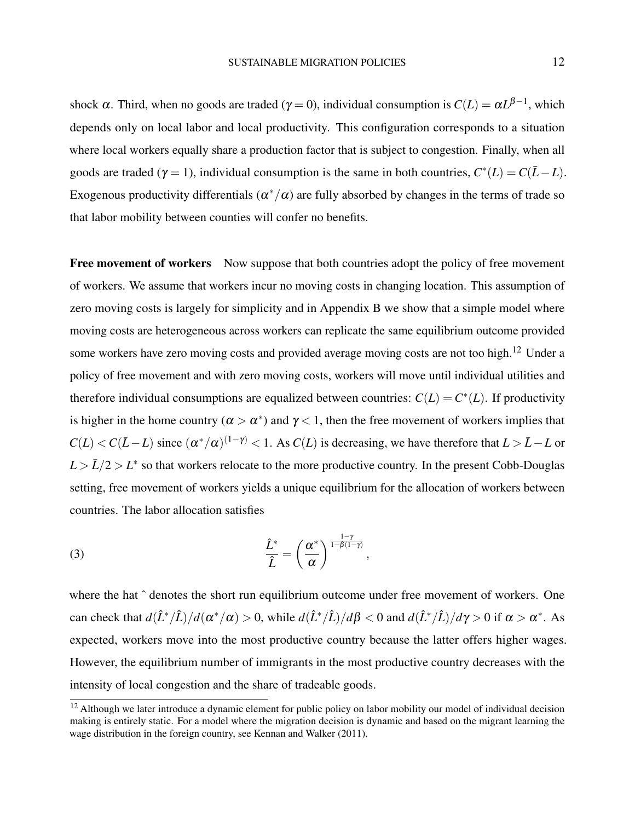shock  $\alpha$ . Third, when no goods are traded ( $\gamma = 0$ ), individual consumption is  $C(L) = \alpha L^{\beta - 1}$ , which depends only on local labor and local productivity. This configuration corresponds to a situation where local workers equally share a production factor that is subject to congestion. Finally, when all goods are traded ( $\gamma = 1$ ), individual consumption is the same in both countries,  $C^*(L) = C(\bar{L} - L)$ . Exogenous productivity differentials ( $\alpha^*/\alpha$ ) are fully absorbed by changes in the terms of trade so that labor mobility between counties will confer no benefits.

**Free movement of workers** Now suppose that both countries adopt the policy of free movement of workers. We assume that workers incur no moving costs in changing location. This assumption of zero moving costs is largely for simplicity and in [Appendix B](#page-45-0) we show that a simple model where moving costs are heterogeneous across workers can replicate the same equilibrium outcome provided some workers have zero moving costs and provided average moving costs are not too high.<sup>[12](#page-11-0)</sup> Under a policy of free movement and with zero moving costs, workers will move until individual utilities and therefore individual consumptions are equalized between countries:  $C(L) = C^*(L)$ . If productivity is higher in the home country ( $\alpha > \alpha^*$ ) and  $\gamma < 1$ , then the free movement of workers implies that  $C(L) < C(\bar{L} - L)$  since  $(\alpha^*/\alpha)^{(1-\gamma)} < 1$ . As  $C(L)$  is decreasing, we have therefore that  $L > \bar{L} - L$  or  $L > L/2 > L^*$  so that workers relocate to the more productive country. In the present Cobb-Douglas setting, free movement of workers yields a unique equilibrium for the allocation of workers between countries. The labor allocation satisfies

<span id="page-11-1"></span>(3) 
$$
\frac{\hat{L}^*}{\hat{L}} = \left(\frac{\alpha^*}{\alpha}\right)^{\frac{1-\gamma}{1-\beta(1-\gamma)}},
$$

where the hat  $\hat{ }$  denotes the short run equilibrium outcome under free movement of workers. One can check that  $d(\hat{L}^*/\hat{L})/d(\alpha^*/\alpha) > 0$ , while  $d(\hat{L}^*/\hat{L})/d\beta < 0$  and  $d(\hat{L}^*/\hat{L})/d\gamma > 0$  if  $\alpha > \alpha^*$ . As expected, workers move into the most productive country because the latter offers higher wages. However, the equilibrium number of immigrants in the most productive country decreases with the intensity of local congestion and the share of tradeable goods.

<span id="page-11-0"></span> $12$  Although we later introduce a dynamic element for public policy on labor mobility our model of individual decision making is entirely static. For a model where the migration decision is dynamic and based on the migrant learning the wage distribution in the foreign country, see [Kennan and Walker](#page-42-9) [\(2011\)](#page-42-9).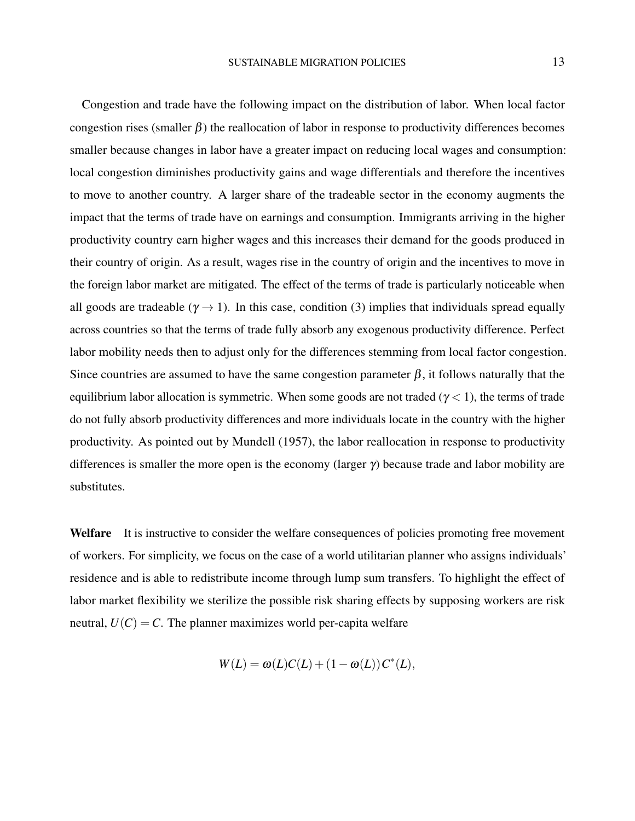Congestion and trade have the following impact on the distribution of labor. When local factor congestion rises (smaller β) the reallocation of labor in response to productivity differences becomes smaller because changes in labor have a greater impact on reducing local wages and consumption: local congestion diminishes productivity gains and wage differentials and therefore the incentives to move to another country. A larger share of the tradeable sector in the economy augments the impact that the terms of trade have on earnings and consumption. Immigrants arriving in the higher productivity country earn higher wages and this increases their demand for the goods produced in their country of origin. As a result, wages rise in the country of origin and the incentives to move in the foreign labor market are mitigated. The effect of the terms of trade is particularly noticeable when all goods are tradeable ( $\gamma \rightarrow 1$ ). In this case, condition [\(3\)](#page-11-1) implies that individuals spread equally across countries so that the terms of trade fully absorb any exogenous productivity difference. Perfect labor mobility needs then to adjust only for the differences stemming from local factor congestion. Since countries are assumed to have the same congestion parameter  $\beta$ , it follows naturally that the equilibrium labor allocation is symmetric. When some goods are not traded ( $\gamma$  < 1), the terms of trade do not fully absorb productivity differences and more individuals locate in the country with the higher productivity. As pointed out by [Mundell](#page-43-4) [\(1957\)](#page-43-4), the labor reallocation in response to productivity differences is smaller the more open is the economy (larger γ) because trade and labor mobility are substitutes.

Welfare It is instructive to consider the welfare consequences of policies promoting free movement of workers. For simplicity, we focus on the case of a world utilitarian planner who assigns individuals' residence and is able to redistribute income through lump sum transfers. To highlight the effect of labor market flexibility we sterilize the possible risk sharing effects by supposing workers are risk neutral,  $U(C) = C$ . The planner maximizes world per-capita welfare

$$
W(L) = \omega(L)C(L) + (1 - \omega(L))C^*(L),
$$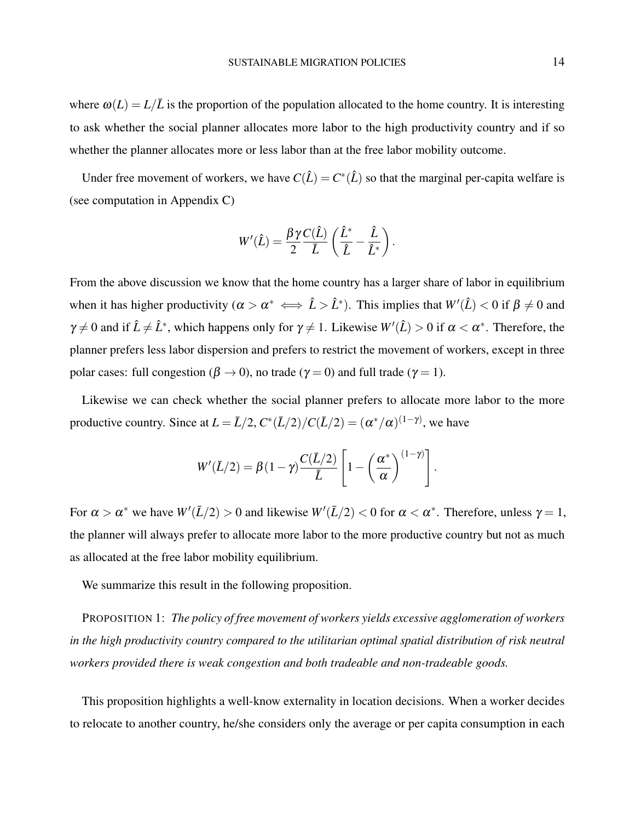where  $\omega(L) = L/\overline{L}$  is the proportion of the population allocated to the home country. It is interesting to ask whether the social planner allocates more labor to the high productivity country and if so whether the planner allocates more or less labor than at the free labor mobility outcome.

Under free movement of workers, we have  $C(\hat{L}) = C^*(\hat{L})$  so that the marginal per-capita welfare is (see computation in [Appendix C\)](#page-46-0)

$$
W'(\hat{L}) = \frac{\beta \gamma C(\hat{L})}{2} \left( \frac{\hat{L}^*}{\hat{L}} - \frac{\hat{L}}{\hat{L}^*} \right).
$$

From the above discussion we know that the home country has a larger share of labor in equilibrium when it has higher productivity  $(\alpha > \alpha^* \iff \hat{L} > \hat{L}^*)$ . This implies that  $W'(\hat{L}) < 0$  if  $\beta \neq 0$  and  $\gamma \neq 0$  and if  $\hat{L} \neq \hat{L}^*$ , which happens only for  $\gamma \neq 1$ . Likewise  $W'(\hat{L}) > 0$  if  $\alpha < \alpha^*$ . Therefore, the planner prefers less labor dispersion and prefers to restrict the movement of workers, except in three polar cases: full congestion ( $\beta \rightarrow 0$ ), no trade ( $\gamma = 0$ ) and full trade ( $\gamma = 1$ ).

Likewise we can check whether the social planner prefers to allocate more labor to the more productive country. Since at  $L = \bar{L}/2$ ,  $C^*(\bar{L}/2)/C(\bar{L}/2) = (\alpha^*/\alpha)^{(1-\gamma)}$ , we have

$$
W'(\bar{L}/2) = \beta(1-\gamma)\frac{C(\bar{L}/2)}{\bar{L}}\left[1-\left(\frac{\alpha^*}{\alpha}\right)^{(1-\gamma)}\right].
$$

For  $\alpha > \alpha^*$  we have  $W'(L/2) > 0$  and likewise  $W'(L/2) < 0$  for  $\alpha < \alpha^*$ . Therefore, unless  $\gamma = 1$ , the planner will always prefer to allocate more labor to the more productive country but not as much as allocated at the free labor mobility equilibrium.

We summarize this result in the following proposition.

PROPOSITION 1: *The policy of free movement of workers yields excessive agglomeration of workers in the high productivity country compared to the utilitarian optimal spatial distribution of risk neutral workers provided there is weak congestion and both tradeable and non-tradeable goods.*

This proposition highlights a well-know externality in location decisions. When a worker decides to relocate to another country, he/she considers only the average or per capita consumption in each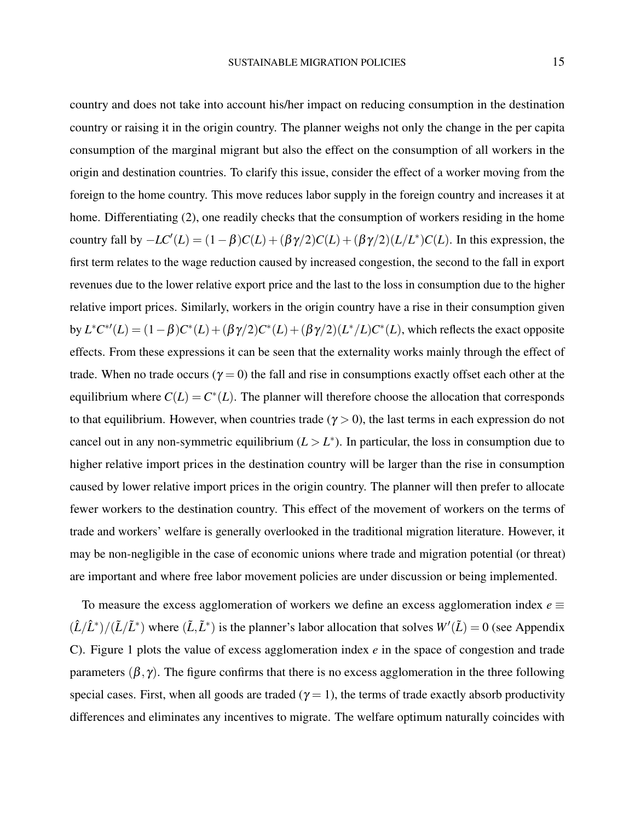country and does not take into account his/her impact on reducing consumption in the destination country or raising it in the origin country. The planner weighs not only the change in the per capita consumption of the marginal migrant but also the effect on the consumption of all workers in the origin and destination countries. To clarify this issue, consider the effect of a worker moving from the foreign to the home country. This move reduces labor supply in the foreign country and increases it at home. Differentiating [\(2\)](#page-10-1), one readily checks that the consumption of workers residing in the home country fall by  $-LC'(L) = (1 - \beta)C(L) + (\beta \gamma/2)C(L) + (\beta \gamma/2)(L/L^*)C(L)$ . In this expression, the first term relates to the wage reduction caused by increased congestion, the second to the fall in export revenues due to the lower relative export price and the last to the loss in consumption due to the higher relative import prices. Similarly, workers in the origin country have a rise in their consumption given  $b$ y *L*<sup>∗</sup>*C*<sup>∗</sup>'(*L*) = (1−β)*C*<sup>∗</sup>(*L*) + (βγ/2)*C*<sup>∗</sup>(*L*) + (βγ/2)(*L*<sup>∗</sup>/*L*)*C*<sup>∗</sup>(*L*), which reflects the exact opposite effects. From these expressions it can be seen that the externality works mainly through the effect of trade. When no trade occurs ( $\gamma = 0$ ) the fall and rise in consumptions exactly offset each other at the equilibrium where  $C(L) = C^*(L)$ . The planner will therefore choose the allocation that corresponds to that equilibrium. However, when countries trade ( $\gamma > 0$ ), the last terms in each expression do not cancel out in any non-symmetric equilibrium  $(L > L^*)$ . In particular, the loss in consumption due to higher relative import prices in the destination country will be larger than the rise in consumption caused by lower relative import prices in the origin country. The planner will then prefer to allocate fewer workers to the destination country. This effect of the movement of workers on the terms of trade and workers' welfare is generally overlooked in the traditional migration literature. However, it may be non-negligible in the case of economic unions where trade and migration potential (or threat) are important and where free labor movement policies are under discussion or being implemented.

To measure the excess agglomeration of workers we define an excess agglomeration index  $e \equiv$  $(\hat{L}/\hat{L}^*)/(\tilde{L}/\tilde{L}^*)$  where  $(\tilde{L}, \tilde{L}^*)$  is the planner's labor allocation that solves  $W'(\tilde{L}) = 0$  (see [Appendix](#page-46-0) [C\)](#page-46-0). Figure [1](#page-16-0) plots the value of excess agglomeration index *e* in the space of congestion and trade parameters  $(\beta, \gamma)$ . The figure confirms that there is no excess agglomeration in the three following special cases. First, when all goods are traded ( $\gamma = 1$ ), the terms of trade exactly absorb productivity differences and eliminates any incentives to migrate. The welfare optimum naturally coincides with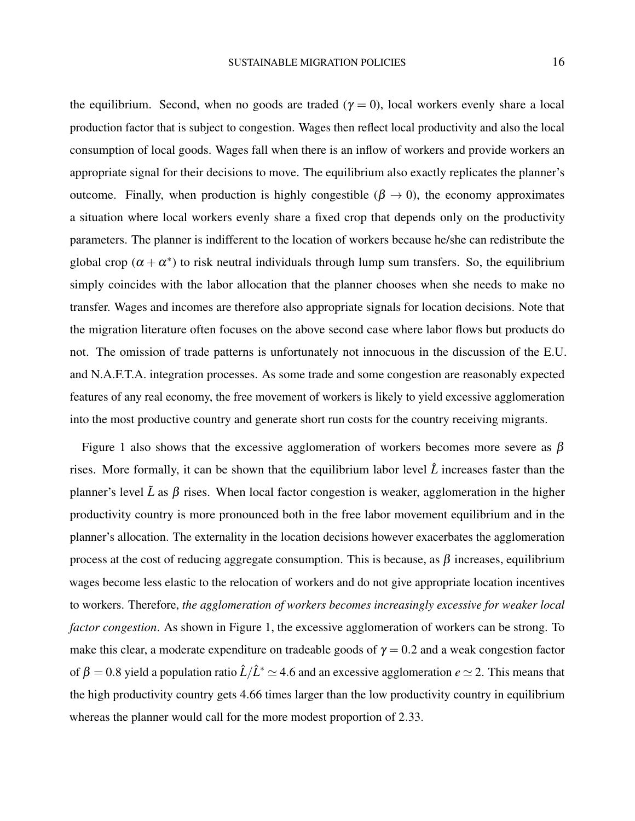the equilibrium. Second, when no goods are traded ( $\gamma = 0$ ), local workers evenly share a local production factor that is subject to congestion. Wages then reflect local productivity and also the local consumption of local goods. Wages fall when there is an inflow of workers and provide workers an appropriate signal for their decisions to move. The equilibrium also exactly replicates the planner's outcome. Finally, when production is highly congestible ( $\beta \rightarrow 0$ ), the economy approximates a situation where local workers evenly share a fixed crop that depends only on the productivity parameters. The planner is indifferent to the location of workers because he/she can redistribute the global crop  $(\alpha + \alpha^*)$  to risk neutral individuals through lump sum transfers. So, the equilibrium simply coincides with the labor allocation that the planner chooses when she needs to make no transfer. Wages and incomes are therefore also appropriate signals for location decisions. Note that the migration literature often focuses on the above second case where labor flows but products do not. The omission of trade patterns is unfortunately not innocuous in the discussion of the E.U. and N.A.F.T.A. integration processes. As some trade and some congestion are reasonably expected features of any real economy, the free movement of workers is likely to yield excessive agglomeration into the most productive country and generate short run costs for the country receiving migrants.

Figure [1](#page-16-0) also shows that the excessive agglomeration of workers becomes more severe as  $\beta$ rises. More formally, it can be shown that the equilibrium labor level  $\hat{L}$  increases faster than the planner's level  $\tilde{L}$  as  $\beta$  rises. When local factor congestion is weaker, agglomeration in the higher productivity country is more pronounced both in the free labor movement equilibrium and in the planner's allocation. The externality in the location decisions however exacerbates the agglomeration process at the cost of reducing aggregate consumption. This is because, as  $\beta$  increases, equilibrium wages become less elastic to the relocation of workers and do not give appropriate location incentives to workers. Therefore, *the agglomeration of workers becomes increasingly excessive for weaker local factor congestion*. As shown in Figure [1,](#page-16-0) the excessive agglomeration of workers can be strong. To make this clear, a moderate expenditure on tradeable goods of  $\gamma = 0.2$  and a weak congestion factor of  $\beta = 0.8$  yield a population ratio  $\hat{L}/\hat{L}^* \simeq 4.6$  and an excessive agglomeration  $e \simeq 2$ . This means that the high productivity country gets 4.66 times larger than the low productivity country in equilibrium whereas the planner would call for the more modest proportion of 2.33.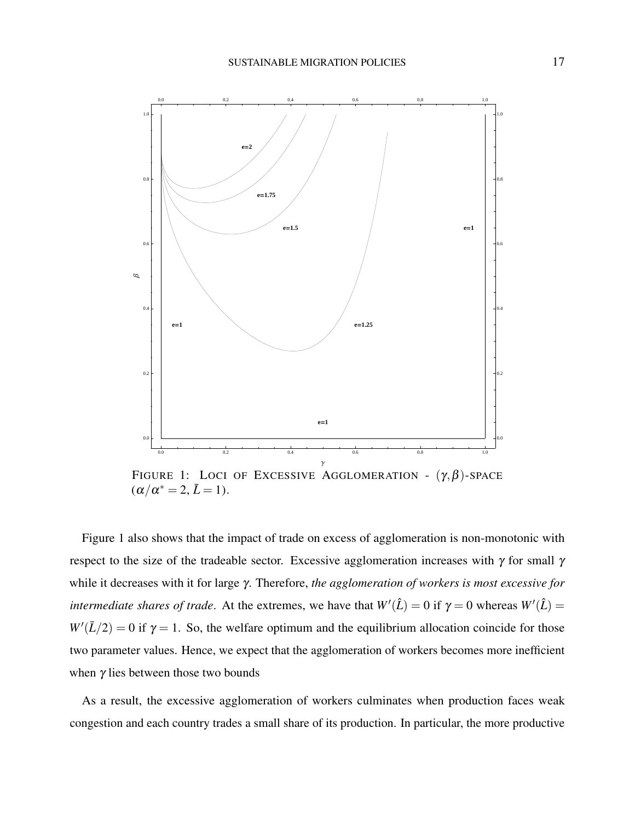<span id="page-16-0"></span>

FIGURE 1: LOCI OF EXCESSIVE AGGLOMERATION -  $(\gamma, \beta)$ -SPACE  $(\alpha/\alpha^* = 2, \bar{L} = 1).$ 

Figure [1](#page-16-0) also shows that the impact of trade on excess of agglomeration is non-monotonic with respect to the size of the tradeable sector. Excessive agglomeration increases with  $\gamma$  for small  $\gamma$ while it decreases with it for large γ. Therefore, *the agglomeration of workers is most excessive for intermediate shares of trade.* At the extremes, we have that  $W'(\hat{L}) = 0$  if  $\gamma = 0$  whereas  $W'(\hat{L}) = 0$  $W'(L/2) = 0$  if  $\gamma = 1$ . So, the welfare optimum and the equilibrium allocation coincide for those two parameter values. Hence, we expect that the agglomeration of workers becomes more inefficient when  $\gamma$  lies between those two bounds

As a result, the excessive agglomeration of workers culminates when production faces weak congestion and each country trades a small share of its production. In particular, the more productive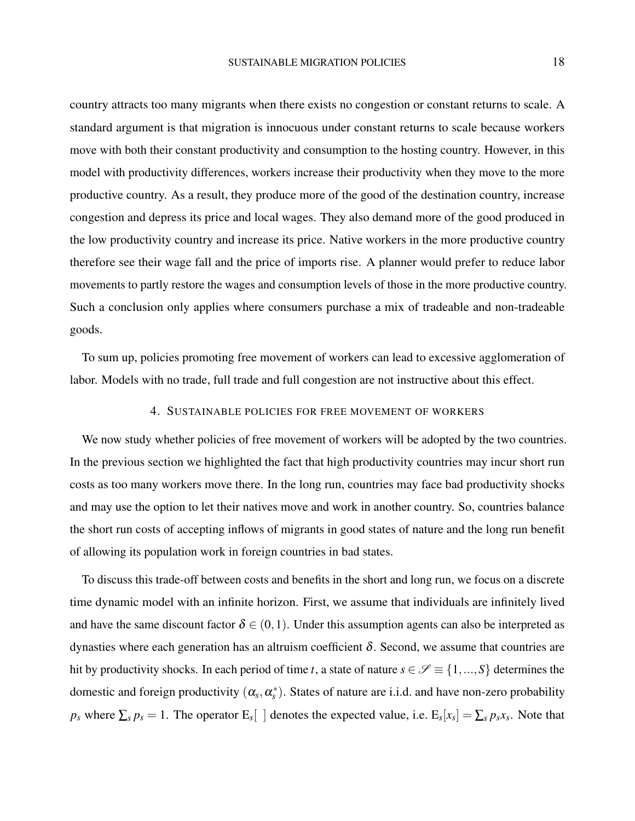country attracts too many migrants when there exists no congestion or constant returns to scale. A standard argument is that migration is innocuous under constant returns to scale because workers move with both their constant productivity and consumption to the hosting country. However, in this model with productivity differences, workers increase their productivity when they move to the more productive country. As a result, they produce more of the good of the destination country, increase congestion and depress its price and local wages. They also demand more of the good produced in the low productivity country and increase its price. Native workers in the more productive country therefore see their wage fall and the price of imports rise. A planner would prefer to reduce labor movements to partly restore the wages and consumption levels of those in the more productive country. Such a conclusion only applies where consumers purchase a mix of tradeable and non-tradeable goods.

To sum up, policies promoting free movement of workers can lead to excessive agglomeration of labor. Models with no trade, full trade and full congestion are not instructive about this effect.

### 4. SUSTAINABLE POLICIES FOR FREE MOVEMENT OF WORKERS

We now study whether policies of free movement of workers will be adopted by the two countries. In the previous section we highlighted the fact that high productivity countries may incur short run costs as too many workers move there. In the long run, countries may face bad productivity shocks and may use the option to let their natives move and work in another country. So, countries balance the short run costs of accepting inflows of migrants in good states of nature and the long run benefit of allowing its population work in foreign countries in bad states.

To discuss this trade-off between costs and benefits in the short and long run, we focus on a discrete time dynamic model with an infinite horizon. First, we assume that individuals are infinitely lived and have the same discount factor  $\delta \in (0,1)$ . Under this assumption agents can also be interpreted as dynasties where each generation has an altruism coefficient  $\delta$ . Second, we assume that countries are hit by productivity shocks. In each period of time *t*, a state of nature  $s \in \mathcal{S} \equiv \{1,...,S\}$  determines the domestic and foreign productivity  $(\alpha_s, \alpha_s^*)$ . States of nature are i.i.d. and have non-zero probability  $p_s$  where  $\sum_s p_s = 1$ . The operator  $E_s[$  ] denotes the expected value, i.e.  $E_s[x_s] = \sum_s p_s x_s$ . Note that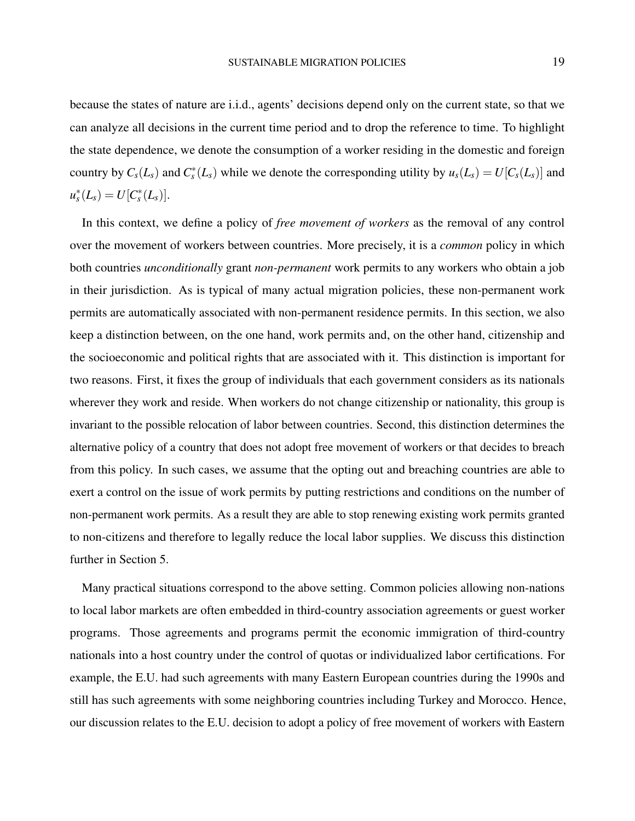because the states of nature are i.i.d., agents' decisions depend only on the current state, so that we can analyze all decisions in the current time period and to drop the reference to time. To highlight the state dependence, we denote the consumption of a worker residing in the domestic and foreign country by  $C_s(L_s)$  and  $C_s^*(L_s)$  while we denote the corresponding utility by  $u_s(L_s) = U[C_s(L_s)]$  and  $u_s^*(L_s) = U[C_s^*(L_s)].$ 

In this context, we define a policy of *free movement of workers* as the removal of any control over the movement of workers between countries. More precisely, it is a *common* policy in which both countries *unconditionally* grant *non-permanent* work permits to any workers who obtain a job in their jurisdiction. As is typical of many actual migration policies, these non-permanent work permits are automatically associated with non-permanent residence permits. In this section, we also keep a distinction between, on the one hand, work permits and, on the other hand, citizenship and the socioeconomic and political rights that are associated with it. This distinction is important for two reasons. First, it fixes the group of individuals that each government considers as its nationals wherever they work and reside. When workers do not change citizenship or nationality, this group is invariant to the possible relocation of labor between countries. Second, this distinction determines the alternative policy of a country that does not adopt free movement of workers or that decides to breach from this policy. In such cases, we assume that the opting out and breaching countries are able to exert a control on the issue of work permits by putting restrictions and conditions on the number of non-permanent work permits. As a result they are able to stop renewing existing work permits granted to non-citizens and therefore to legally reduce the local labor supplies. We discuss this distinction further in Section 5.

Many practical situations correspond to the above setting. Common policies allowing non-nations to local labor markets are often embedded in third-country association agreements or guest worker programs. Those agreements and programs permit the economic immigration of third-country nationals into a host country under the control of quotas or individualized labor certifications. For example, the E.U. had such agreements with many Eastern European countries during the 1990s and still has such agreements with some neighboring countries including Turkey and Morocco. Hence, our discussion relates to the E.U. decision to adopt a policy of free movement of workers with Eastern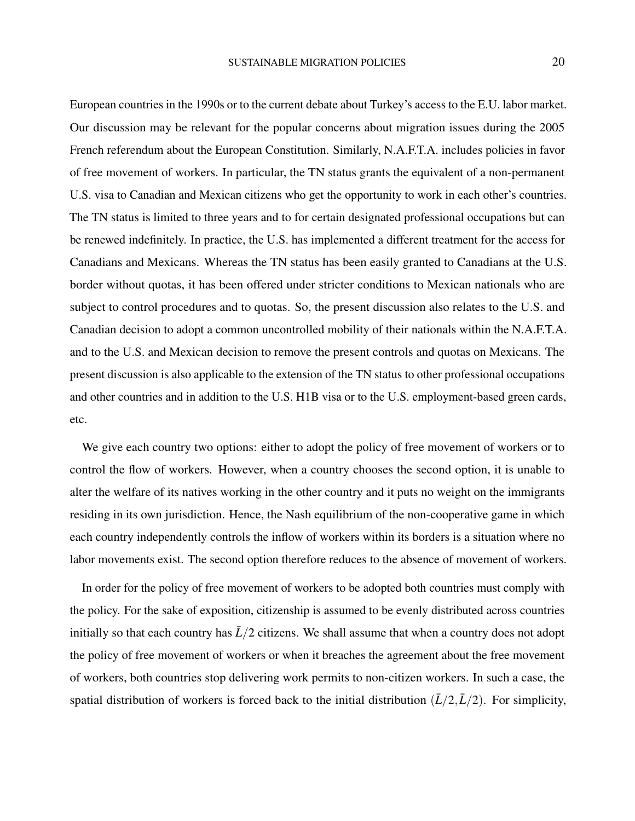European countries in the 1990s or to the current debate about Turkey's access to the E.U. labor market. Our discussion may be relevant for the popular concerns about migration issues during the 2005 French referendum about the European Constitution. Similarly, N.A.F.T.A. includes policies in favor of free movement of workers. In particular, the TN status grants the equivalent of a non-permanent U.S. visa to Canadian and Mexican citizens who get the opportunity to work in each other's countries. The TN status is limited to three years and to for certain designated professional occupations but can be renewed indefinitely. In practice, the U.S. has implemented a different treatment for the access for Canadians and Mexicans. Whereas the TN status has been easily granted to Canadians at the U.S. border without quotas, it has been offered under stricter conditions to Mexican nationals who are subject to control procedures and to quotas. So, the present discussion also relates to the U.S. and Canadian decision to adopt a common uncontrolled mobility of their nationals within the N.A.F.T.A. and to the U.S. and Mexican decision to remove the present controls and quotas on Mexicans. The present discussion is also applicable to the extension of the TN status to other professional occupations and other countries and in addition to the U.S. H1B visa or to the U.S. employment-based green cards, etc.

We give each country two options: either to adopt the policy of free movement of workers or to control the flow of workers. However, when a country chooses the second option, it is unable to alter the welfare of its natives working in the other country and it puts no weight on the immigrants residing in its own jurisdiction. Hence, the Nash equilibrium of the non-cooperative game in which each country independently controls the inflow of workers within its borders is a situation where no labor movements exist. The second option therefore reduces to the absence of movement of workers.

In order for the policy of free movement of workers to be adopted both countries must comply with the policy. For the sake of exposition, citizenship is assumed to be evenly distributed across countries initially so that each country has  $\bar{L}/2$  citizens. We shall assume that when a country does not adopt the policy of free movement of workers or when it breaches the agreement about the free movement of workers, both countries stop delivering work permits to non-citizen workers. In such a case, the spatial distribution of workers is forced back to the initial distribution  $(\bar{L}/2,\bar{L}/2)$ . For simplicity,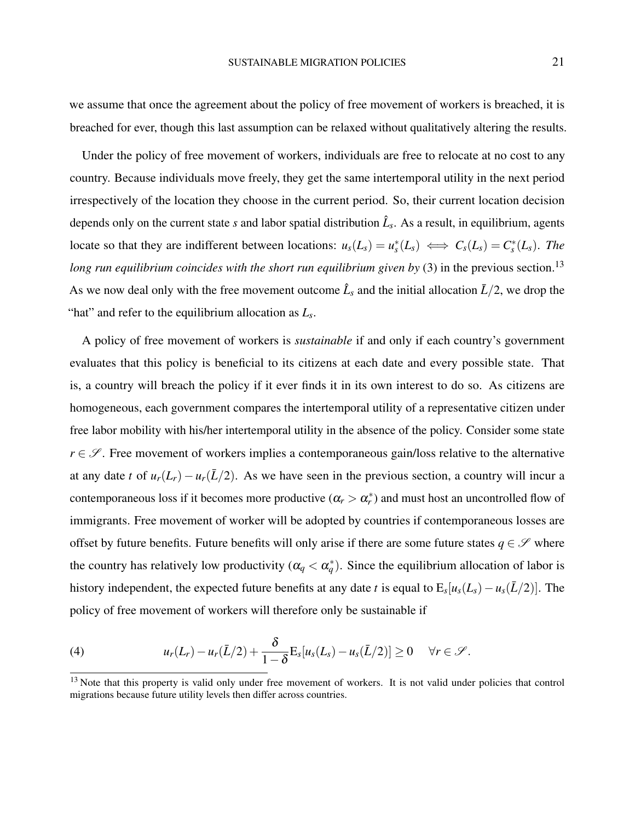we assume that once the agreement about the policy of free movement of workers is breached, it is breached for ever, though this last assumption can be relaxed without qualitatively altering the results.

Under the policy of free movement of workers, individuals are free to relocate at no cost to any country. Because individuals move freely, they get the same intertemporal utility in the next period irrespectively of the location they choose in the current period. So, their current location decision depends only on the current state *s* and labor spatial distribution  $\hat{L}_s$ . As a result, in equilibrium, agents locate so that they are indifferent between locations:  $u_s(L_s) = u_s^*(L_s) \iff C_s(L_s) = C_s^*(L_s)$ . The *long run equilibrium coincides with the short run equilibrium given by* [\(3\)](#page-11-1) in the previous section.<sup>[13](#page-20-0)</sup> As we now deal only with the free movement outcome  $\hat{L}_s$  and the initial allocation  $\bar{L}/2$ , we drop the "hat" and refer to the equilibrium allocation as *L<sup>s</sup>* .

A policy of free movement of workers is *sustainable* if and only if each country's government evaluates that this policy is beneficial to its citizens at each date and every possible state. That is, a country will breach the policy if it ever finds it in its own interest to do so. As citizens are homogeneous, each government compares the intertemporal utility of a representative citizen under free labor mobility with his/her intertemporal utility in the absence of the policy. Consider some state  $r \in \mathscr{S}$ . Free movement of workers implies a contemporaneous gain/loss relative to the alternative at any date *t* of  $u_r(L_r) - u_r(\bar{L}/2)$ . As we have seen in the previous section, a country will incur a contemporaneous loss if it becomes more productive  $(\alpha_r > \alpha_r^*)$  and must host an uncontrolled flow of immigrants. Free movement of worker will be adopted by countries if contemporaneous losses are offset by future benefits. Future benefits will only arise if there are some future states  $q \in \mathscr{S}$  where the country has relatively low productivity  $(\alpha_q < \alpha_q^*)$ . Since the equilibrium allocation of labor is history independent, the expected future benefits at any date *t* is equal to  $E_s[u_s(L_s) - u_s(\bar{L}/2)]$ . The policy of free movement of workers will therefore only be sustainable if

<span id="page-20-1"></span>(4) 
$$
u_r(L_r)-u_r(\bar{L}/2)+\frac{\delta}{1-\delta}E_s[u_s(L_s)-u_s(\bar{L}/2)]\geq 0 \quad \forall r\in\mathscr{S}.
$$

<span id="page-20-0"></span><sup>&</sup>lt;sup>13</sup> Note that this property is valid only under free movement of workers. It is not valid under policies that control migrations because future utility levels then differ across countries.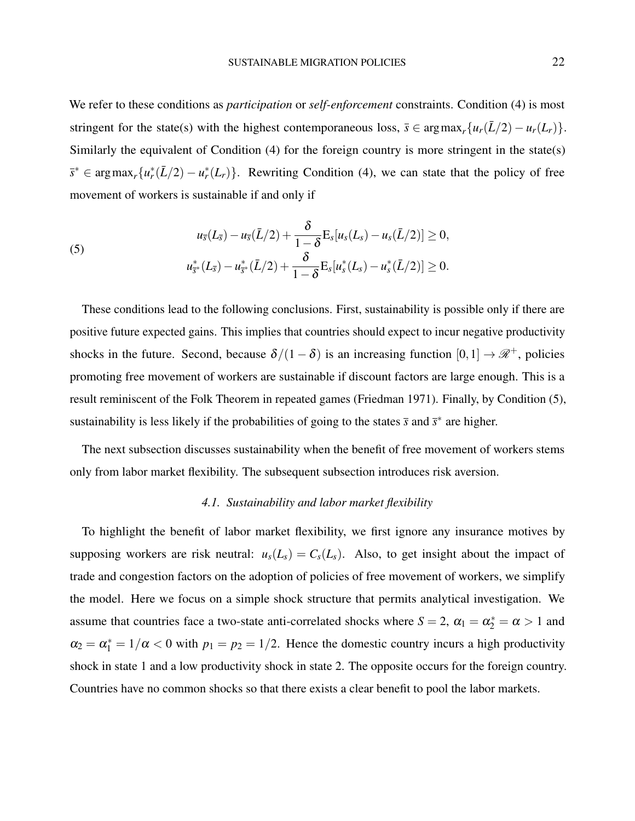We refer to these conditions as *participation* or *self-enforcement* constraints. Condition [\(4\)](#page-20-1) is most stringent for the state(s) with the highest contemporaneous loss,  $\bar{s} \in \arg \max_r \{u_r(\bar{L}/2) - u_r(L_r)\}.$ Similarly the equivalent of Condition  $(4)$  for the foreign country is more stringent in the state(s)  $\bar{s}^* \in \arg \max_r \{u_r^*(\bar{L}/2) - u_r^*(L_r)\}.$  Rewriting Condition [\(4\)](#page-20-1), we can state that the policy of free movement of workers is sustainable if and only if

<span id="page-21-0"></span>(5) 
$$
u_{\overline{s}}(L_{\overline{s}}) - u_{\overline{s}}(\overline{L}/2) + \frac{\delta}{1-\delta} \mathbf{E}_s[u_s(L_s) - u_s(\overline{L}/2)] \geq 0,
$$

$$
u_{\overline{s}^*}^*(L_{\overline{s}}) - u_{\overline{s}^*}^*(\overline{L}/2) + \frac{\delta}{1-\delta} \mathbf{E}_s[u_s^*(L_s) - u_s^*(\overline{L}/2)] \geq 0.
$$

These conditions lead to the following conclusions. First, sustainability is possible only if there are positive future expected gains. This implies that countries should expect to incur negative productivity shocks in the future. Second, because  $\delta/(1-\delta)$  is an increasing function  $[0,1] \to \mathcal{R}^+$ , policies promoting free movement of workers are sustainable if discount factors are large enough. This is a result reminiscent of the Folk Theorem in repeated games [\(Friedman](#page-42-10) [1971\)](#page-42-10). Finally, by Condition [\(5\)](#page-21-0), sustainability is less likely if the probabilities of going to the states  $\bar{s}$  and  $\bar{s}^*$  are higher.

The next subsection discusses sustainability when the benefit of free movement of workers stems only from labor market flexibility. The subsequent subsection introduces risk aversion.

### *4.1. Sustainability and labor market flexibility*

To highlight the benefit of labor market flexibility, we first ignore any insurance motives by supposing workers are risk neutral:  $u_s(L_s) = C_s(L_s)$ . Also, to get insight about the impact of trade and congestion factors on the adoption of policies of free movement of workers, we simplify the model. Here we focus on a simple shock structure that permits analytical investigation. We assume that countries face a two-state anti-correlated shocks where  $S = 2$ ,  $\alpha_1 = \alpha_2^* = \alpha > 1$  and  $\alpha_2 = \alpha_1^* = 1/\alpha < 0$  with  $p_1 = p_2 = 1/2$ . Hence the domestic country incurs a high productivity shock in state 1 and a low productivity shock in state 2. The opposite occurs for the foreign country. Countries have no common shocks so that there exists a clear benefit to pool the labor markets.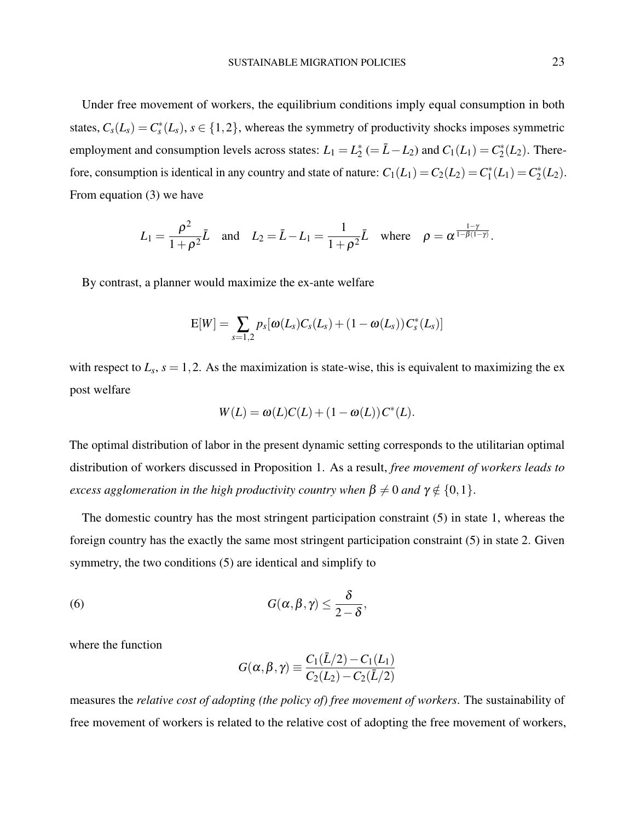Under free movement of workers, the equilibrium conditions imply equal consumption in both states,  $C_s(L_s) = C_s^*(L_s)$ ,  $s \in \{1, 2\}$ , whereas the symmetry of productivity shocks imposes symmetric employment and consumption levels across states:  $L_1 = L_2^*$  $Z_2^*$  (=  $\bar{L} - L_2$ ) and  $C_1(L_1) = C_2^*$  $2^*(L_2)$ . Therefore, consumption is identical in any country and state of nature:  $C_1(L_1) = C_2(L_2) = C_1^*$  $C_1^*(L_1) = C_2^*$  $2^*(L_2)$ . From equation [\(3\)](#page-11-1) we have

$$
L_1 = \frac{\rho^2}{1+\rho^2}\bar{L} \quad \text{and} \quad L_2 = \bar{L} - L_1 = \frac{1}{1+\rho^2}\bar{L} \quad \text{where} \quad \rho = \alpha^{\frac{1-\gamma}{1-\beta(1-\gamma)}}.
$$

By contrast, a planner would maximize the ex-ante welfare

$$
E[W] = \sum_{s=1,2} p_s[\omega(L_s)C_s(L_s) + (1-\omega(L_s))C_s^*(L_s)]
$$

with respect to  $L_s$ ,  $s = 1, 2$ . As the maximization is state-wise, this is equivalent to maximizing the expost welfare

$$
W(L) = \omega(L)C(L) + (1 - \omega(L))C^*(L).
$$

The optimal distribution of labor in the present dynamic setting corresponds to the utilitarian optimal distribution of workers discussed in Proposition 1. As a result, *free movement of workers leads to excess agglomeration in the high productivity country when*  $\beta \neq 0$  *and*  $\gamma \notin \{0,1\}$ .

The domestic country has the most stringent participation constraint [\(5\)](#page-21-0) in state 1, whereas the foreign country has the exactly the same most stringent participation constraint [\(5\)](#page-21-0) in state 2. Given symmetry, the two conditions [\(5\)](#page-21-0) are identical and simplify to

(6) 
$$
G(\alpha, \beta, \gamma) \leq \frac{\delta}{2-\delta},
$$

where the function

$$
G(\alpha, \beta, \gamma) \equiv \frac{C_1(\bar{L}/2) - C_1(L_1)}{C_2(L_2) - C_2(\bar{L}/2)}
$$

measures the *relative cost of adopting (the policy of) free movement of workers*. The sustainability of free movement of workers is related to the relative cost of adopting the free movement of workers,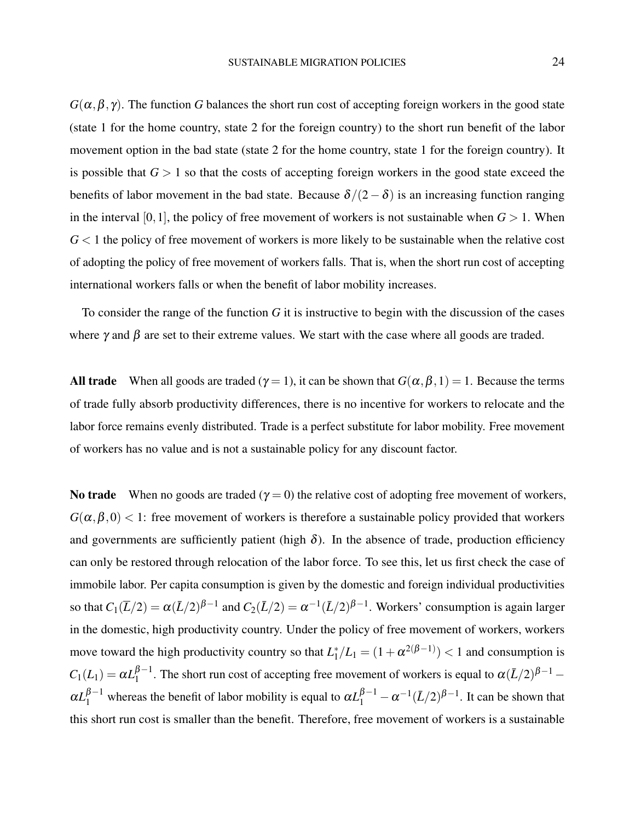$G(\alpha, \beta, \gamma)$ . The function *G* balances the short run cost of accepting foreign workers in the good state (state 1 for the home country, state 2 for the foreign country) to the short run benefit of the labor movement option in the bad state (state 2 for the home country, state 1 for the foreign country). It is possible that  $G > 1$  so that the costs of accepting foreign workers in the good state exceed the benefits of labor movement in the bad state. Because  $\delta/(2-\delta)$  is an increasing function ranging in the interval [0,1], the policy of free movement of workers is not sustainable when  $G > 1$ . When  $G<1$  the policy of free movement of workers is more likely to be sustainable when the relative cost of adopting the policy of free movement of workers falls. That is, when the short run cost of accepting international workers falls or when the benefit of labor mobility increases.

To consider the range of the function *G* it is instructive to begin with the discussion of the cases where  $\gamma$  and  $\beta$  are set to their extreme values. We start with the case where all goods are traded.

All trade When all goods are traded ( $\gamma = 1$ ), it can be shown that  $G(\alpha, \beta, 1) = 1$ . Because the terms of trade fully absorb productivity differences, there is no incentive for workers to relocate and the labor force remains evenly distributed. Trade is a perfect substitute for labor mobility. Free movement of workers has no value and is not a sustainable policy for any discount factor.

No trade When no goods are traded ( $\gamma = 0$ ) the relative cost of adopting free movement of workers,  $G(\alpha, \beta, 0)$  < 1: free movement of workers is therefore a sustainable policy provided that workers and governments are sufficiently patient (high  $\delta$ ). In the absence of trade, production efficiency can only be restored through relocation of the labor force. To see this, let us first check the case of immobile labor. Per capita consumption is given by the domestic and foreign individual productivities so that  $C_1(\overline{L}/2) = \alpha(\overline{L}/2)^{\beta-1}$  and  $C_2(\overline{L}/2) = \alpha^{-1}(\overline{L}/2)^{\beta-1}$ . Workers' consumption is again larger in the domestic, high productivity country. Under the policy of free movement of workers, workers move toward the high productivity country so that  $L_1^*$  $\binom{1}{1}L_1 = (1 + \alpha^{2(\beta - 1)}) < 1$  and consumption is  $C_1(L_1) = \alpha L_1^{\beta - 1}$  $1^{\beta-1}$ . The short run cost of accepting free movement of workers is equal to  $\alpha(\bar{L}/2)^{\beta-1}$  –  $\alpha L_1^{\beta-1}$  whereas the benefit of labor mobility is equal to  $\alpha L_1^{\beta-1} - \alpha^{-1} (\bar{L}/2)^{\beta-1}$ . It can be shown that this short run cost is smaller than the benefit. Therefore, free movement of workers is a sustainable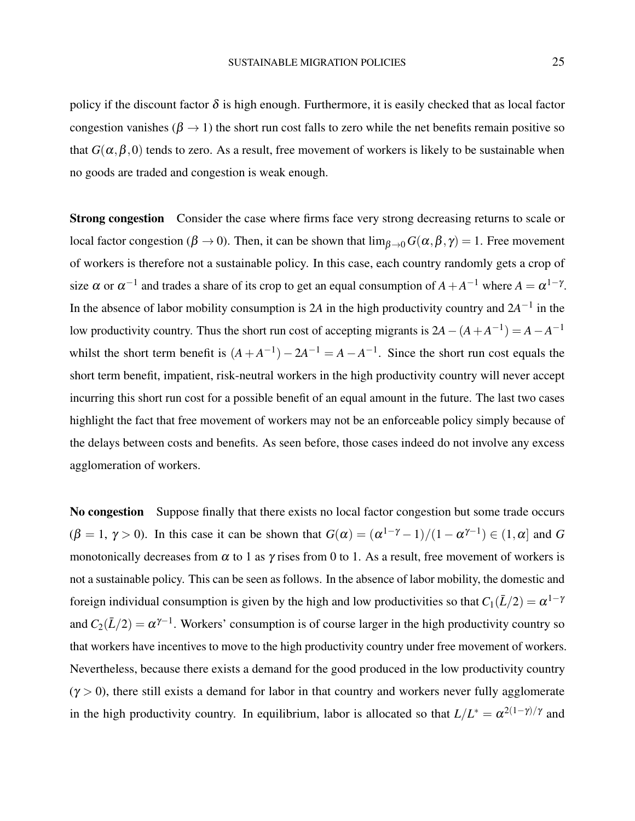policy if the discount factor  $\delta$  is high enough. Furthermore, it is easily checked that as local factor congestion vanishes ( $\beta \rightarrow 1$ ) the short run cost falls to zero while the net benefits remain positive so that  $G(\alpha, \beta, 0)$  tends to zero. As a result, free movement of workers is likely to be sustainable when no goods are traded and congestion is weak enough.

**Strong congestion** Consider the case where firms face very strong decreasing returns to scale or local factor congestion ( $\beta \to 0$ ). Then, it can be shown that  $\lim_{\beta \to 0} G(\alpha, \beta, \gamma) = 1$ . Free movement of workers is therefore not a sustainable policy. In this case, each country randomly gets a crop of size  $\alpha$  or  $\alpha^{-1}$  and trades a share of its crop to get an equal consumption of  $A + A^{-1}$  where  $A = \alpha^{1-\gamma}$ . In the absence of labor mobility consumption is 2A in the high productivity country and  $2A^{-1}$  in the low productivity country. Thus the short run cost of accepting migrants is  $2A - (A + A^{-1}) = A - A^{-1}$ whilst the short term benefit is  $(A + A^{-1}) - 2A^{-1} = A - A^{-1}$ . Since the short run cost equals the short term benefit, impatient, risk-neutral workers in the high productivity country will never accept incurring this short run cost for a possible benefit of an equal amount in the future. The last two cases highlight the fact that free movement of workers may not be an enforceable policy simply because of the delays between costs and benefits. As seen before, those cases indeed do not involve any excess agglomeration of workers.

No congestion Suppose finally that there exists no local factor congestion but some trade occurs  $(\beta = 1, \gamma > 0)$ . In this case it can be shown that  $G(\alpha) = (\alpha^{1-\gamma} - 1)/(1 - \alpha^{\gamma-1}) \in (1, \alpha]$  and G monotonically decreases from  $\alpha$  to 1 as  $\gamma$  rises from 0 to 1. As a result, free movement of workers is not a sustainable policy. This can be seen as follows. In the absence of labor mobility, the domestic and foreign individual consumption is given by the high and low productivities so that  $C_1(\bar L/2) = \alpha^{1-\gamma}$ and  $C_2(L/2) = \alpha^{\gamma-1}$ . Workers' consumption is of course larger in the high productivity country so that workers have incentives to move to the high productivity country under free movement of workers. Nevertheless, because there exists a demand for the good produced in the low productivity country  $(\gamma > 0)$ , there still exists a demand for labor in that country and workers never fully agglomerate in the high productivity country. In equilibrium, labor is allocated so that  $L/L^* = \alpha^{2(1-\gamma)/\gamma}$  and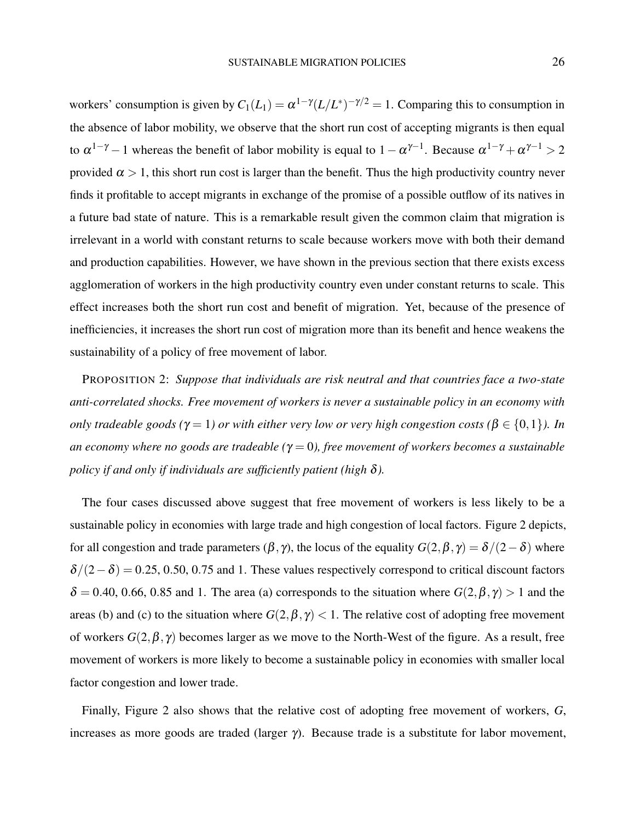workers' consumption is given by  $C_1(L_1) = \alpha^{1-\gamma} (L/L^*)^{-\gamma/2} = 1$ . Comparing this to consumption in the absence of labor mobility, we observe that the short run cost of accepting migrants is then equal to  $\alpha^{1-\gamma}-1$  whereas the benefit of labor mobility is equal to  $1-\alpha^{\gamma-1}$ . Because  $\alpha^{1-\gamma}+\alpha^{\gamma-1}>2$ provided  $\alpha > 1$ , this short run cost is larger than the benefit. Thus the high productivity country never finds it profitable to accept migrants in exchange of the promise of a possible outflow of its natives in a future bad state of nature. This is a remarkable result given the common claim that migration is irrelevant in a world with constant returns to scale because workers move with both their demand and production capabilities. However, we have shown in the previous section that there exists excess agglomeration of workers in the high productivity country even under constant returns to scale. This effect increases both the short run cost and benefit of migration. Yet, because of the presence of inefficiencies, it increases the short run cost of migration more than its benefit and hence weakens the sustainability of a policy of free movement of labor.

PROPOSITION 2: *Suppose that individuals are risk neutral and that countries face a two-state anti-correlated shocks. Free movement of workers is never a sustainable policy in an economy with only tradeable goods (* $\gamma = 1$ *) or with either very low or very high congestion costs (* $\beta \in \{0,1\}$ *). In an economy where no goods are tradeable (*γ = 0*), free movement of workers becomes a sustainable policy if and only if individuals are sufficiently patient (high* δ*).*

The four cases discussed above suggest that free movement of workers is less likely to be a sustainable policy in economies with large trade and high congestion of local factors. Figure [2](#page-26-0) depicts, for all congestion and trade parameters  $(\beta, \gamma)$ , the locus of the equality  $G(2, \beta, \gamma) = \delta/(2-\delta)$  where  $\delta/(2-\delta) = 0.25, 0.50, 0.75$  and 1. These values respectively correspond to critical discount factors  $\delta = 0.40, 0.66, 0.85$  and 1. The area (a) corresponds to the situation where  $G(2, \beta, \gamma) > 1$  and the areas (b) and (c) to the situation where  $G(2, \beta, \gamma) < 1$ . The relative cost of adopting free movement of workers  $G(2, \beta, \gamma)$  becomes larger as we move to the North-West of the figure. As a result, free movement of workers is more likely to become a sustainable policy in economies with smaller local factor congestion and lower trade.

Finally, Figure [2](#page-26-0) also shows that the relative cost of adopting free movement of workers, *G*, increases as more goods are traded (larger  $\gamma$ ). Because trade is a substitute for labor movement,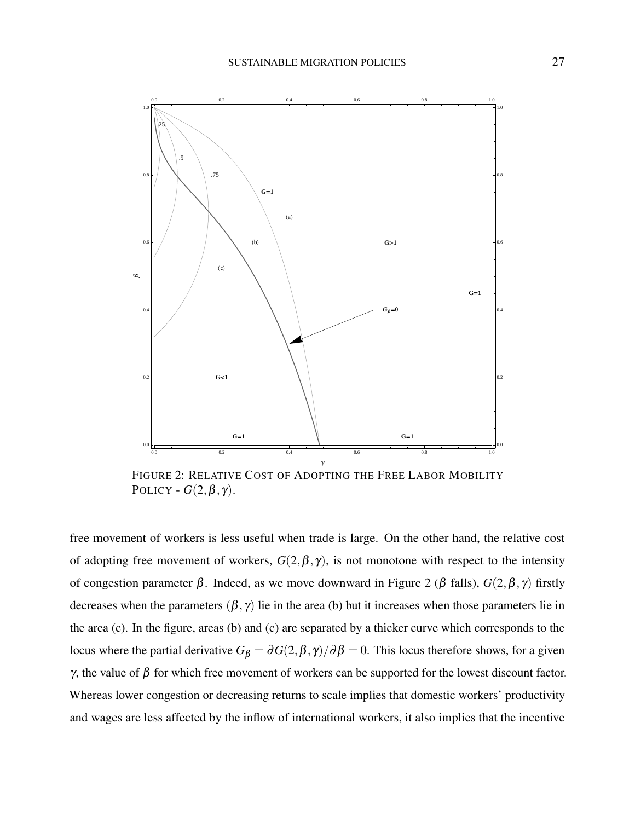<span id="page-26-0"></span>

FIGURE 2: RELATIVE COST OF ADOPTING THE FREE LABOR MOBILITY POLICY -  $G(2, \beta, \gamma)$ .

free movement of workers is less useful when trade is large. On the other hand, the relative cost of adopting free movement of workers,  $G(2, \beta, \gamma)$ , is not monotone with respect to the intensity of congestion parameter  $β$ . Indeed, as we move downward in Figure 2 ( $β$  falls),  $G(2, β, γ)$  firstly decreases when the parameters  $(\beta, \gamma)$  lie in the area (b) but it increases when those parameters lie in the area (c). In the figure, areas (b) and (c) are separated by a thicker curve which corresponds to the locus where the partial derivative  $G_\beta = \partial G(2,\beta,\gamma)/\partial \beta = 0$ . This locus therefore shows, for a given γ, the value of  $β$  for which free movement of workers can be supported for the lowest discount factor. Whereas lower congestion or decreasing returns to scale implies that domestic workers' productivity and wages are less affected by the inflow of international workers, it also implies that the incentive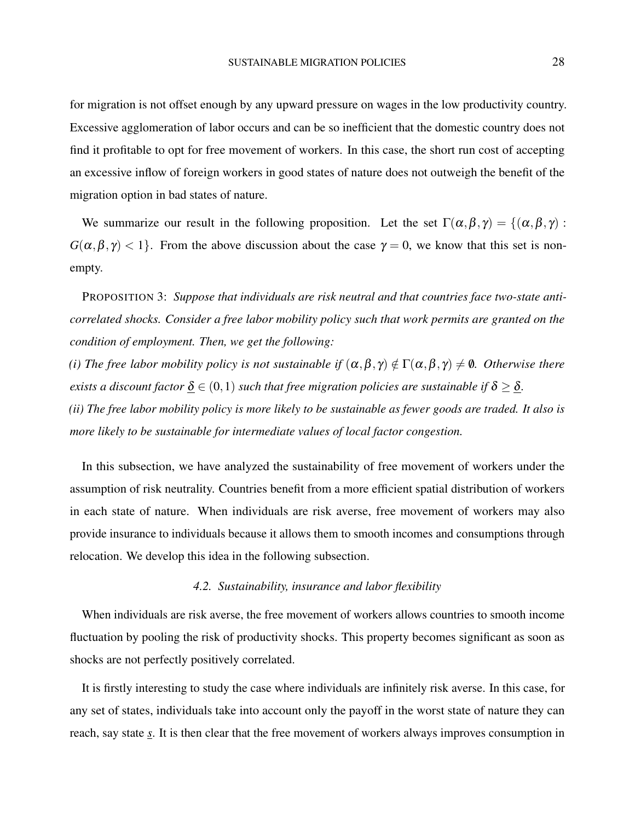for migration is not offset enough by any upward pressure on wages in the low productivity country. Excessive agglomeration of labor occurs and can be so inefficient that the domestic country does not find it profitable to opt for free movement of workers. In this case, the short run cost of accepting an excessive inflow of foreign workers in good states of nature does not outweigh the benefit of the migration option in bad states of nature.

We summarize our result in the following proposition. Let the set  $\Gamma(\alpha,\beta,\gamma) = \{(\alpha,\beta,\gamma) :$  $G(\alpha, \beta, \gamma) < 1$ . From the above discussion about the case  $\gamma = 0$ , we know that this set is nonempty.

PROPOSITION 3: *Suppose that individuals are risk neutral and that countries face two-state anticorrelated shocks. Consider a free labor mobility policy such that work permits are granted on the condition of employment. Then, we get the following:*

*(i) The free labor mobility policy is not sustainable if*  $(\alpha, \beta, \gamma) \notin \Gamma(\alpha, \beta, \gamma) \neq \emptyset$ . *Otherwise there exists a discount factor*  $\underline{\delta} \in (0,1)$  *such that free migration policies are sustainable if*  $\delta \geq \underline{\delta}$ *. (ii) The free labor mobility policy is more likely to be sustainable as fewer goods are traded. It also is more likely to be sustainable for intermediate values of local factor congestion.*

In this subsection, we have analyzed the sustainability of free movement of workers under the assumption of risk neutrality. Countries benefit from a more efficient spatial distribution of workers in each state of nature. When individuals are risk averse, free movement of workers may also provide insurance to individuals because it allows them to smooth incomes and consumptions through relocation. We develop this idea in the following subsection.

### *4.2. Sustainability, insurance and labor flexibility*

When individuals are risk averse, the free movement of workers allows countries to smooth income fluctuation by pooling the risk of productivity shocks. This property becomes significant as soon as shocks are not perfectly positively correlated.

It is firstly interesting to study the case where individuals are infinitely risk averse. In this case, for any set of states, individuals take into account only the payoff in the worst state of nature they can reach, say state *s*. It is then clear that the free movement of workers always improves consumption in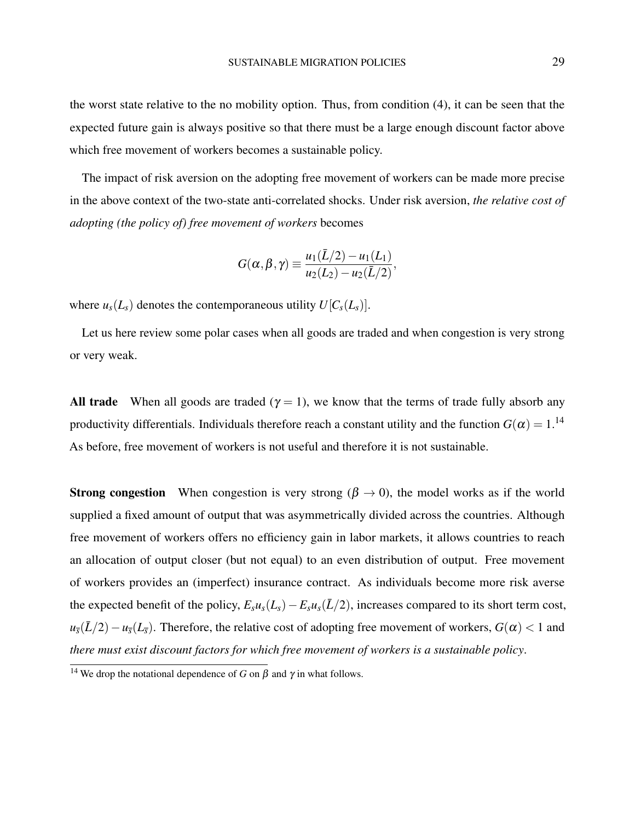the worst state relative to the no mobility option. Thus, from condition [\(4\)](#page-20-1), it can be seen that the expected future gain is always positive so that there must be a large enough discount factor above which free movement of workers becomes a sustainable policy.

The impact of risk aversion on the adopting free movement of workers can be made more precise in the above context of the two-state anti-correlated shocks. Under risk aversion, *the relative cost of adopting (the policy of) free movement of workers* becomes

$$
G(\alpha,\beta,\gamma) \equiv \frac{u_1(\bar{L}/2) - u_1(L_1)}{u_2(L_2) - u_2(\bar{L}/2)},
$$

where  $u_s(L_s)$  denotes the contemporaneous utility  $U[C_s(L_s)]$ .

Let us here review some polar cases when all goods are traded and when congestion is very strong or very weak.

All trade When all goods are traded ( $\gamma = 1$ ), we know that the terms of trade fully absorb any productivity differentials. Individuals therefore reach a constant utility and the function  $G(\alpha)=1.^{14}$  $G(\alpha)=1.^{14}$  $G(\alpha)=1.^{14}$ As before, free movement of workers is not useful and therefore it is not sustainable.

**Strong congestion** When congestion is very strong ( $\beta \rightarrow 0$ ), the model works as if the world supplied a fixed amount of output that was asymmetrically divided across the countries. Although free movement of workers offers no efficiency gain in labor markets, it allows countries to reach an allocation of output closer (but not equal) to an even distribution of output. Free movement of workers provides an (imperfect) insurance contract. As individuals become more risk averse the expected benefit of the policy,  $E_s u_s(L_s) - E_s u_s(\bar{L}/2)$ , increases compared to its short term cost,  $u_{\bar{s}}(L/2) - u_{\bar{s}}(L_{\bar{s}})$ . Therefore, the relative cost of adopting free movement of workers,  $G(\alpha) < 1$  and *there must exist discount factors for which free movement of workers is a sustainable policy*.

<span id="page-28-0"></span><sup>&</sup>lt;sup>14</sup> We drop the notational dependence of *G* on  $\beta$  and  $\gamma$  in what follows.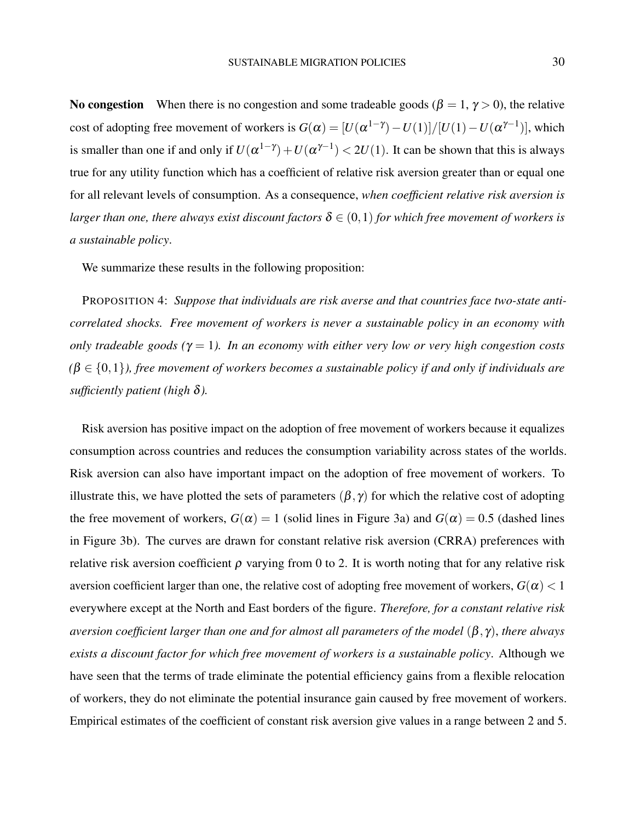No congestion When there is no congestion and some tradeable goods ( $\beta = 1, \gamma > 0$ ), the relative cost of adopting free movement of workers is  $G(\alpha) = [U(\alpha^{1-\gamma}) - U(1)]/[U(1) - U(\alpha^{\gamma-1})]$ , which is smaller than one if and only if  $U(\alpha^{1-\gamma}) + U(\alpha^{\gamma-1}) < 2U(1)$ . It can be shown that this is always true for any utility function which has a coefficient of relative risk aversion greater than or equal one for all relevant levels of consumption. As a consequence, *when coefficient relative risk aversion is larger than one, there always exist discount factors*  $\delta \in (0,1)$  *for which free movement of workers is a sustainable policy*.

We summarize these results in the following proposition:

PROPOSITION 4: *Suppose that individuals are risk averse and that countries face two-state anticorrelated shocks. Free movement of workers is never a sustainable policy in an economy with only tradeable goods (*γ = 1*). In an economy with either very low or very high congestion costs*  $(\beta \in \{0,1\})$ , free movement of workers becomes a sustainable policy if and only if individuals are *sufficiently patient (high* δ*).*

Risk aversion has positive impact on the adoption of free movement of workers because it equalizes consumption across countries and reduces the consumption variability across states of the worlds. Risk aversion can also have important impact on the adoption of free movement of workers. To illustrate this, we have plotted the sets of parameters  $(\beta, \gamma)$  for which the relative cost of adopting the free movement of workers,  $G(\alpha) = 1$  (solid lines in Figure [3a\)](#page-30-0) and  $G(\alpha) = 0.5$  (dashed lines in Figure [3b\)](#page-30-1). The curves are drawn for constant relative risk aversion (CRRA) preferences with relative risk aversion coefficient  $\rho$  varying from 0 to 2. It is worth noting that for any relative risk aversion coefficient larger than one, the relative cost of adopting free movement of workers,  $G(\alpha) < 1$ everywhere except at the North and East borders of the figure. *Therefore, for a constant relative risk aversion coefficient larger than one and for almost all parameters of the model* (β, γ), *there always exists a discount factor for which free movement of workers is a sustainable policy*. Although we have seen that the terms of trade eliminate the potential efficiency gains from a flexible relocation of workers, they do not eliminate the potential insurance gain caused by free movement of workers. Empirical estimates of the coefficient of constant risk aversion give values in a range between 2 and 5.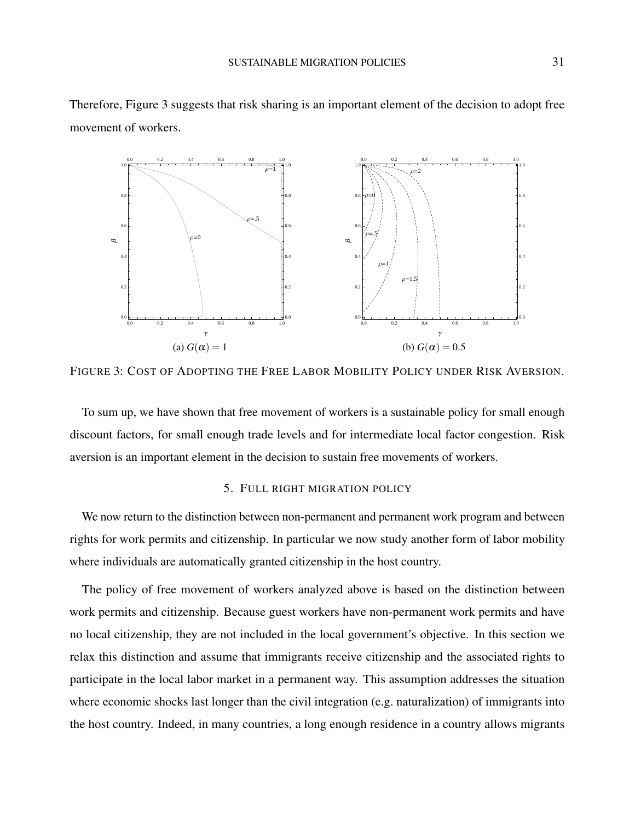<span id="page-30-2"></span><span id="page-30-0"></span>

Therefore, Figure [3](#page-30-2) suggests that risk sharing is an important element of the decision to adopt free movement of workers.

FIGURE 3: COST OF ADOPTING THE FREE LABOR MOBILITY POLICY UNDER RISK AVERSION.

To sum up, we have shown that free movement of workers is a sustainable policy for small enough discount factors, for small enough trade levels and for intermediate local factor congestion. Risk aversion is an important element in the decision to sustain free movements of workers.

### <span id="page-30-1"></span>5. FULL RIGHT MIGRATION POLICY

We now return to the distinction between non-permanent and permanent work program and between rights for work permits and citizenship. In particular we now study another form of labor mobility where individuals are automatically granted citizenship in the host country.

The policy of free movement of workers analyzed above is based on the distinction between work permits and citizenship. Because guest workers have non-permanent work permits and have no local citizenship, they are not included in the local government's objective. In this section we relax this distinction and assume that immigrants receive citizenship and the associated rights to participate in the local labor market in a permanent way. This assumption addresses the situation where economic shocks last longer than the civil integration (e.g. naturalization) of immigrants into the host country. Indeed, in many countries, a long enough residence in a country allows migrants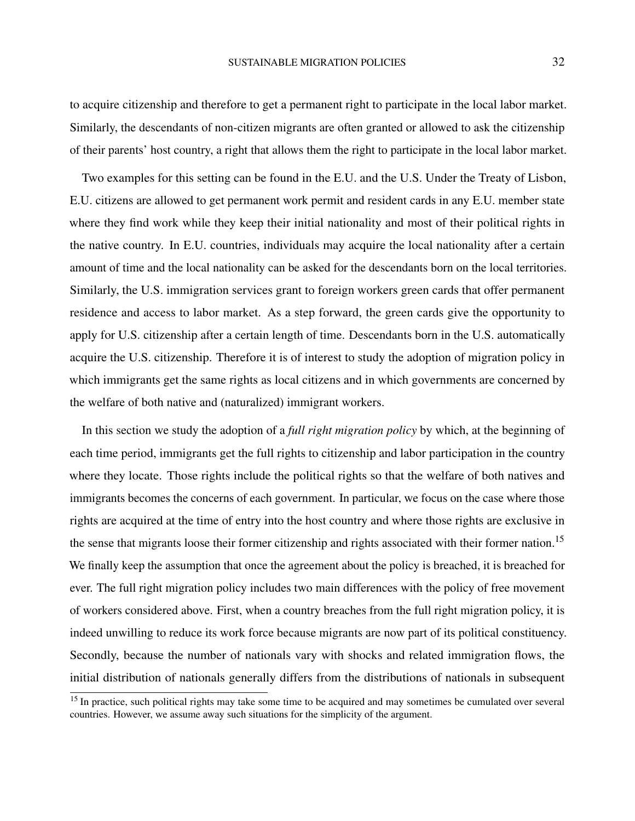to acquire citizenship and therefore to get a permanent right to participate in the local labor market. Similarly, the descendants of non-citizen migrants are often granted or allowed to ask the citizenship of their parents' host country, a right that allows them the right to participate in the local labor market.

Two examples for this setting can be found in the E.U. and the U.S. Under the Treaty of Lisbon, E.U. citizens are allowed to get permanent work permit and resident cards in any E.U. member state where they find work while they keep their initial nationality and most of their political rights in the native country. In E.U. countries, individuals may acquire the local nationality after a certain amount of time and the local nationality can be asked for the descendants born on the local territories. Similarly, the U.S. immigration services grant to foreign workers green cards that offer permanent residence and access to labor market. As a step forward, the green cards give the opportunity to apply for U.S. citizenship after a certain length of time. Descendants born in the U.S. automatically acquire the U.S. citizenship. Therefore it is of interest to study the adoption of migration policy in which immigrants get the same rights as local citizens and in which governments are concerned by the welfare of both native and (naturalized) immigrant workers.

In this section we study the adoption of a *full right migration policy* by which, at the beginning of each time period, immigrants get the full rights to citizenship and labor participation in the country where they locate. Those rights include the political rights so that the welfare of both natives and immigrants becomes the concerns of each government. In particular, we focus on the case where those rights are acquired at the time of entry into the host country and where those rights are exclusive in the sense that migrants loose their former citizenship and rights associated with their former nation.<sup>[15](#page-31-0)</sup> We finally keep the assumption that once the agreement about the policy is breached, it is breached for ever. The full right migration policy includes two main differences with the policy of free movement of workers considered above. First, when a country breaches from the full right migration policy, it is indeed unwilling to reduce its work force because migrants are now part of its political constituency. Secondly, because the number of nationals vary with shocks and related immigration flows, the initial distribution of nationals generally differs from the distributions of nationals in subsequent

<span id="page-31-0"></span><sup>&</sup>lt;sup>15</sup> In practice, such political rights may take some time to be acquired and may sometimes be cumulated over several countries. However, we assume away such situations for the simplicity of the argument.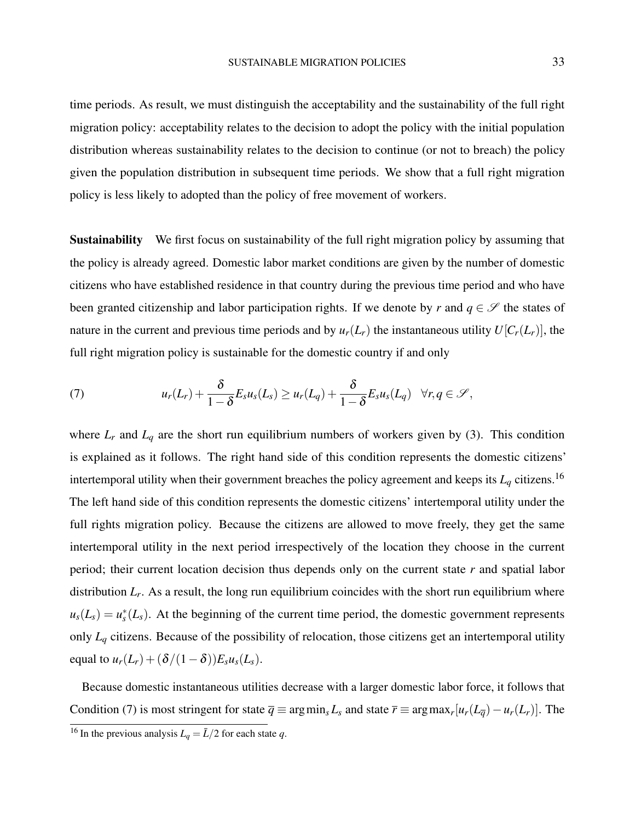time periods. As result, we must distinguish the acceptability and the sustainability of the full right migration policy: acceptability relates to the decision to adopt the policy with the initial population distribution whereas sustainability relates to the decision to continue (or not to breach) the policy given the population distribution in subsequent time periods. We show that a full right migration policy is less likely to adopted than the policy of free movement of workers.

**Sustainability** We first focus on sustainability of the full right migration policy by assuming that the policy is already agreed. Domestic labor market conditions are given by the number of domestic citizens who have established residence in that country during the previous time period and who have been granted citizenship and labor participation rights. If we denote by *r* and  $q \in \mathscr{S}$  the states of nature in the current and previous time periods and by  $u_r(L_r)$  the instantaneous utility  $U[C_r(L_r)]$ , the full right migration policy is sustainable for the domestic country if and only

<span id="page-32-1"></span>(7) 
$$
u_r(L_r) + \frac{\delta}{1-\delta} E_s u_s(L_s) \geq u_r(L_q) + \frac{\delta}{1-\delta} E_s u_s(L_q) \quad \forall r, q \in \mathcal{S},
$$

where  $L_r$  and  $L_q$  are the short run equilibrium numbers of workers given by [\(3\)](#page-11-1). This condition is explained as it follows. The right hand side of this condition represents the domestic citizens' intertemporal utility when their government breaches the policy agreement and keeps its  $L_q$  citizens.<sup>[16](#page-32-0)</sup> The left hand side of this condition represents the domestic citizens' intertemporal utility under the full rights migration policy. Because the citizens are allowed to move freely, they get the same intertemporal utility in the next period irrespectively of the location they choose in the current period; their current location decision thus depends only on the current state *r* and spatial labor distribution *L<sup>r</sup>* . As a result, the long run equilibrium coincides with the short run equilibrium where  $u_s(L_s) = u_s^*(L_s)$ . At the beginning of the current time period, the domestic government represents only  $L_q$  citizens. Because of the possibility of relocation, those citizens get an intertemporal utility equal to  $u_r(L_r) + (\delta/(1-\delta))E_s u_s(L_s)$ .

Because domestic instantaneous utilities decrease with a larger domestic labor force, it follows that Condition [\(7\)](#page-32-1) is most stringent for state  $\overline{q} \equiv \arg \min_s L_s$  and state  $\overline{r} \equiv \arg \max_r [u_r(L_{\overline{q}}) - u_r(L_r)]$ . The

<span id="page-32-0"></span><sup>&</sup>lt;sup>16</sup> In the previous analysis  $L_q = \bar{L}/2$  for each state *q*.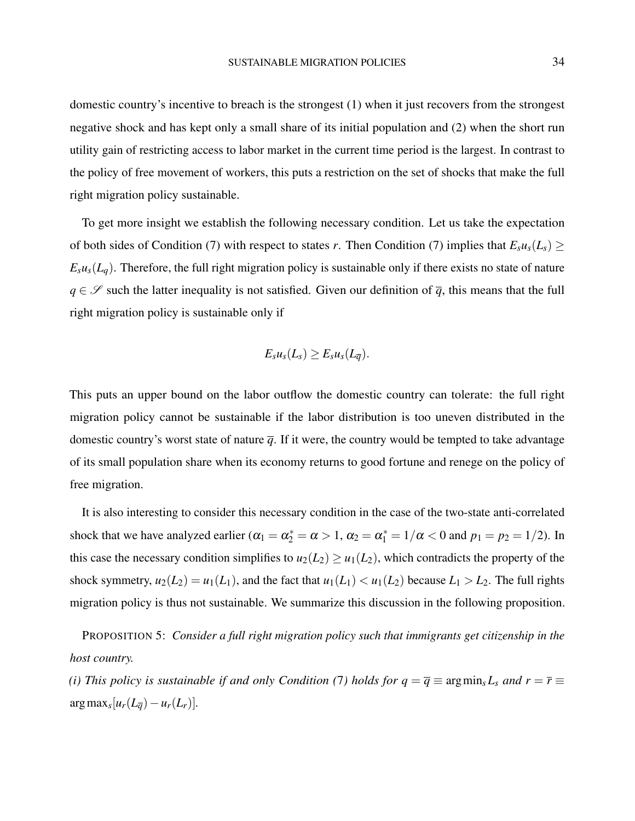domestic country's incentive to breach is the strongest (1) when it just recovers from the strongest negative shock and has kept only a small share of its initial population and (2) when the short run utility gain of restricting access to labor market in the current time period is the largest. In contrast to the policy of free movement of workers, this puts a restriction on the set of shocks that make the full right migration policy sustainable.

To get more insight we establish the following necessary condition. Let us take the expectation of both sides of Condition [\(7\)](#page-32-1) with respect to states *r*. Then Condition (7) implies that  $E_s u_s(L_s) \geq$  $E_s u_s(L_a)$ . Therefore, the full right migration policy is sustainable only if there exists no state of nature  $q \in \mathscr{S}$  such the latter inequality is not satisfied. Given our definition of  $\overline{q}$ , this means that the full right migration policy is sustainable only if

$$
E_su_s(L_s)\geq E_su_s(L_{\overline{q}}).
$$

This puts an upper bound on the labor outflow the domestic country can tolerate: the full right migration policy cannot be sustainable if the labor distribution is too uneven distributed in the domestic country's worst state of nature  $\overline{q}$ . If it were, the country would be tempted to take advantage of its small population share when its economy returns to good fortune and renege on the policy of free migration.

It is also interesting to consider this necessary condition in the case of the two-state anti-correlated shock that we have analyzed earlier ( $\alpha_1 = \alpha_2^* = \alpha > 1$ ,  $\alpha_2 = \alpha_1^* = 1/\alpha < 0$  and  $p_1 = p_2 = 1/2$ ). In this case the necessary condition simplifies to  $u_2(L_2) \ge u_1(L_2)$ , which contradicts the property of the shock symmetry,  $u_2(L_2) = u_1(L_1)$ , and the fact that  $u_1(L_1) < u_1(L_2)$  because  $L_1 > L_2$ . The full rights migration policy is thus not sustainable. We summarize this discussion in the following proposition.

<span id="page-33-0"></span>PROPOSITION 5: *Consider a full right migration policy such that immigrants get citizenship in the host country.*

*(i) This policy is sustainable if and only Condition ([7](#page-32-1)) holds for*  $q = \overline{q} \equiv \arg\min_{s} L_s$  *and*  $r = \overline{r} \equiv$  $\arg \max_{s} [u_r(L_{\overline{q}}) - u_r(L_r)].$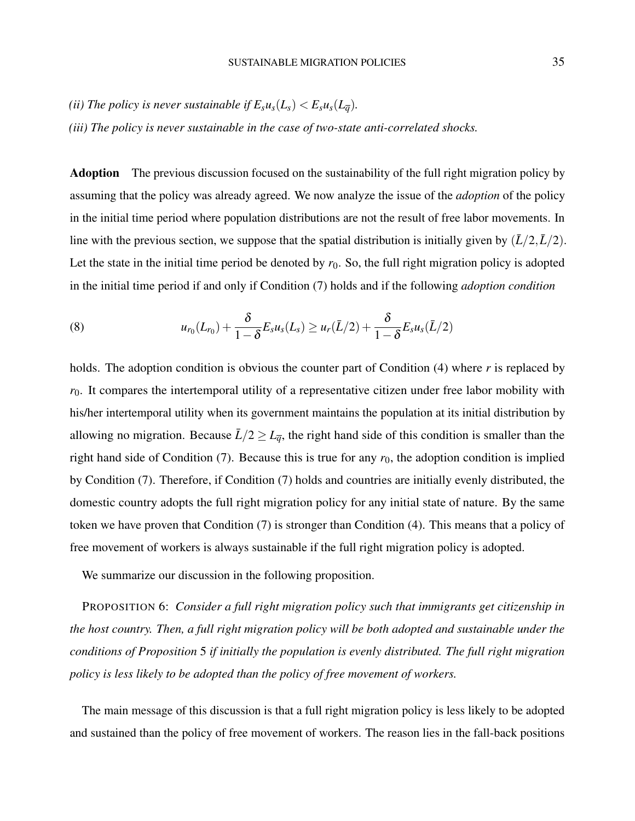*(ii) The policy is never sustainable if*  $E_s u_s(L_s) < E_s u_s(L_{\overline{a}})$ .

*(iii) The policy is never sustainable in the case of two-state anti-correlated shocks.*

Adoption The previous discussion focused on the sustainability of the full right migration policy by assuming that the policy was already agreed. We now analyze the issue of the *adoption* of the policy in the initial time period where population distributions are not the result of free labor movements. In line with the previous section, we suppose that the spatial distribution is initially given by  $(\bar{L}/2, \bar{L}/2)$ . Let the state in the initial time period be denoted by  $r_0$ . So, the full right migration policy is adopted in the initial time period if and only if Condition [\(7\)](#page-32-1) holds and if the following *adoption condition*

(8) 
$$
u_{r_0}(L_{r_0}) + \frac{\delta}{1-\delta} E_s u_s(L_s) \geq u_r(\bar{L}/2) + \frac{\delta}{1-\delta} E_s u_s(\bar{L}/2)
$$

holds. The adoption condition is obvious the counter part of Condition [\(4\)](#page-20-1) where *r* is replaced by *r*0. It compares the intertemporal utility of a representative citizen under free labor mobility with his/her intertemporal utility when its government maintains the population at its initial distribution by allowing no migration. Because  $\bar{L}/2 \geq L_{\bar{q}}$ , the right hand side of this condition is smaller than the right hand side of Condition  $(7)$ . Because this is true for any  $r_0$ , the adoption condition is implied by Condition [\(7\)](#page-32-1). Therefore, if Condition [\(7\)](#page-32-1) holds and countries are initially evenly distributed, the domestic country adopts the full right migration policy for any initial state of nature. By the same token we have proven that Condition [\(7\)](#page-32-1) is stronger than Condition [\(4\)](#page-20-1). This means that a policy of free movement of workers is always sustainable if the full right migration policy is adopted.

We summarize our discussion in the following proposition.

<span id="page-34-0"></span>PROPOSITION 6: *Consider a full right migration policy such that immigrants get citizenship in the host country. Then, a full right migration policy will be both adopted and sustainable under the conditions of Proposition* [5](#page-33-0) *if initially the population is evenly distributed. The full right migration policy is less likely to be adopted than the policy of free movement of workers.*

The main message of this discussion is that a full right migration policy is less likely to be adopted and sustained than the policy of free movement of workers. The reason lies in the fall-back positions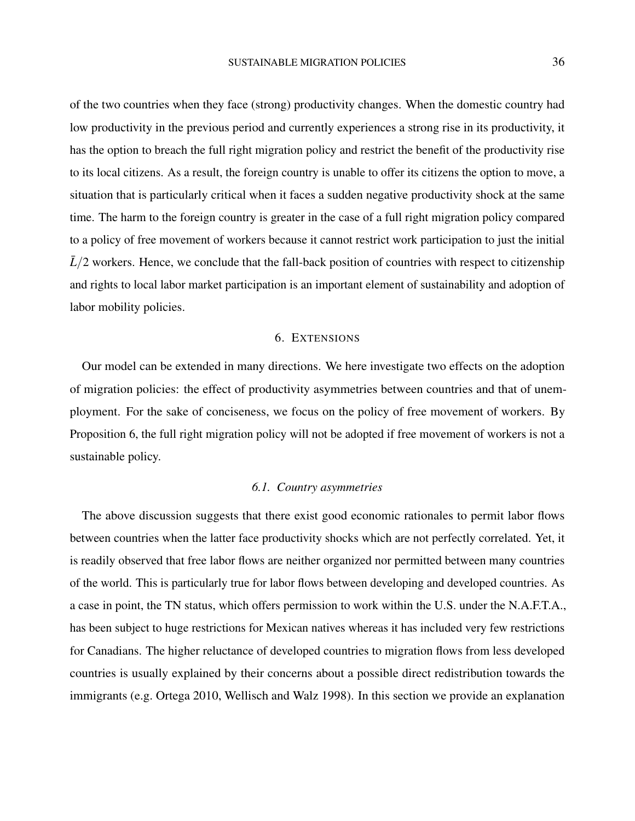of the two countries when they face (strong) productivity changes. When the domestic country had low productivity in the previous period and currently experiences a strong rise in its productivity, it has the option to breach the full right migration policy and restrict the benefit of the productivity rise to its local citizens. As a result, the foreign country is unable to offer its citizens the option to move, a situation that is particularly critical when it faces a sudden negative productivity shock at the same time. The harm to the foreign country is greater in the case of a full right migration policy compared to a policy of free movement of workers because it cannot restrict work participation to just the initial  $\bar{L}/2$  workers. Hence, we conclude that the fall-back position of countries with respect to citizenship and rights to local labor market participation is an important element of sustainability and adoption of labor mobility policies.

### 6. EXTENSIONS

Our model can be extended in many directions. We here investigate two effects on the adoption of migration policies: the effect of productivity asymmetries between countries and that of unemployment. For the sake of conciseness, we focus on the policy of free movement of workers. By Proposition [6,](#page-34-0) the full right migration policy will not be adopted if free movement of workers is not a sustainable policy.

### *6.1. Country asymmetries*

The above discussion suggests that there exist good economic rationales to permit labor flows between countries when the latter face productivity shocks which are not perfectly correlated. Yet, it is readily observed that free labor flows are neither organized nor permitted between many countries of the world. This is particularly true for labor flows between developing and developed countries. As a case in point, the TN status, which offers permission to work within the U.S. under the N.A.F.T.A., has been subject to huge restrictions for Mexican natives whereas it has included very few restrictions for Canadians. The higher reluctance of developed countries to migration flows from less developed countries is usually explained by their concerns about a possible direct redistribution towards the immigrants (e.g. [Ortega](#page-43-8) [2010,](#page-43-8) [Wellisch and Walz](#page-44-4) [1998\)](#page-44-4). In this section we provide an explanation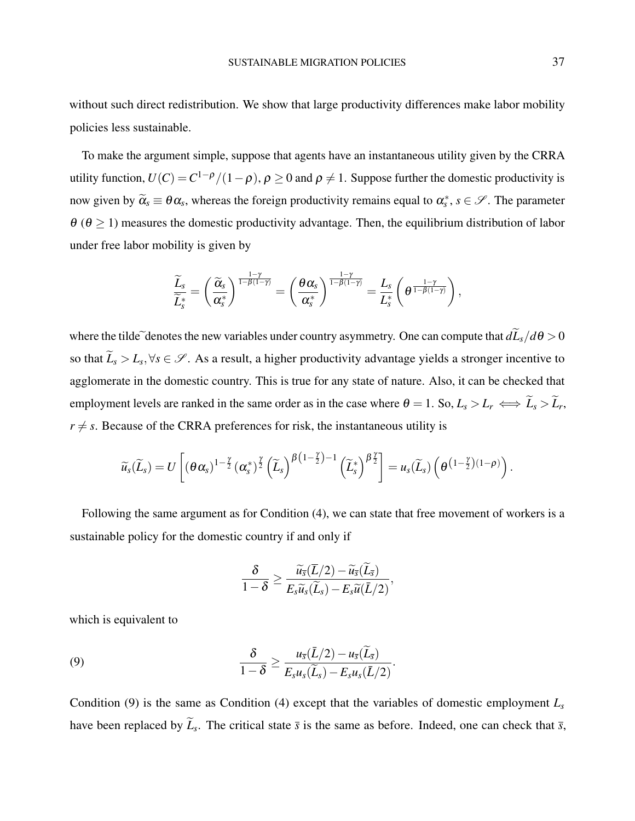without such direct redistribution. We show that large productivity differences make labor mobility policies less sustainable.

To make the argument simple, suppose that agents have an instantaneous utility given by the CRRA utility function,  $U(C) = C^{1-\rho}/(1-\rho)$ ,  $\rho \ge 0$  and  $\rho \ne 1$ . Suppose further the domestic productivity is now given by  $\tilde{\alpha}_s \equiv \theta \alpha_s$ , whereas the foreign productivity remains equal to  $\alpha_s^*$ ,  $s \in \mathscr{S}$ . The parameter  $\theta$  ( $\theta \ge 1$ ) measures the domestic productivity advantage. Then, the equilibrium distribution of labor under free labor mobility is given by

$$
\frac{\widetilde{L}_s}{\widetilde{L}_s^*} = \left(\frac{\widetilde{\alpha}_s}{\alpha_s^*}\right)^{\frac{1-\gamma}{1-\beta(1-\gamma)}} = \left(\frac{\theta \alpha_s}{\alpha_s^*}\right)^{\frac{1-\gamma}{1-\beta(1-\gamma)}} = \frac{L_s}{L_s^*} \left(\theta^{\frac{1-\gamma}{1-\beta(1-\gamma)}}\right),
$$

where the tilde<sup> $\tilde{d}$ </sup> denotes the new variables under country asymmetry. One can compute that  $d\tilde{L}_s/d\theta > 0$ so that  $L_s > L_s, \forall s \in \mathscr{S}$ . As a result, a higher productivity advantage yields a stronger incentive to agglomerate in the domestic country. This is true for any state of nature. Also, it can be checked that employment levels are ranked in the same order as in the case where  $\theta = 1$ . So,  $L_s > L_r \iff L_s > L_r$ ,  $r \neq s$ . Because of the CRRA preferences for risk, the instantaneous utility is

$$
\widetilde{u}_{s}(\widetilde{L}_{s})=U\left[\left(\theta\alpha_{s}\right)^{1-\frac{\gamma}{2}}\left(\alpha_{s}^{*}\right)^{\frac{\gamma}{2}}\left(\widetilde{L}_{s}\right)^{\beta\left(1-\frac{\gamma}{2}\right)-1}\left(\widetilde{L}_{s}^{*}\right)^{\beta\frac{\gamma}{2}}\right]=u_{s}(\widetilde{L}_{s})\left(\theta^{\left(1-\frac{\gamma}{2}\right)\left(1-\rho\right)}\right).
$$

Following the same argument as for Condition [\(4\)](#page-20-1), we can state that free movement of workers is a sustainable policy for the domestic country if and only if

<span id="page-36-0"></span>
$$
\frac{\delta}{1-\delta} \geq \frac{\widetilde{u}_{\overline{s}}(\overline{L}/2) - \widetilde{u}_{\overline{s}}(\widetilde{L}_{\overline{s}})}{E_s\widetilde{u}_s(\widetilde{L}_s) - E_s\widetilde{u}(\overline{L}/2)},
$$

which is equivalent to

(9) 
$$
\frac{\delta}{1-\delta} \geq \frac{u_{\overline{s}}(\overline{L}/2) - u_{\overline{s}}(\overline{L}_{\overline{s}})}{E_s u_s(\overline{L}_s) - E_s u_s(\overline{L}/2)}
$$

Condition [\(9\)](#page-36-0) is the same as Condition [\(4\)](#page-20-1) except that the variables of domestic employment  $L_s$ have been replaced by  $L_s$ . The critical state  $\bar{s}$  is the same as before. Indeed, one can check that  $\bar{s}$ ,

.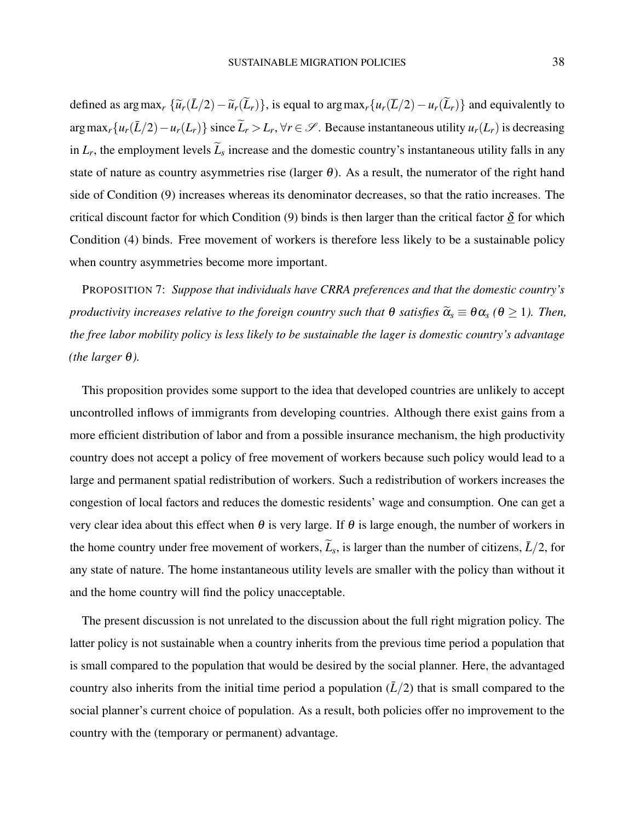defined as argmax<sub>*r*</sub> { $\tilde{u}_r(\tilde{L}/2) - \tilde{u}_r(\tilde{L}_r)$ }, is equal to argmax<sub>*r*</sub>{ $u_r(\tilde{L}/2) - u_r(\tilde{L}_r)$ } and equivalently to  $\arg \max_r \{u_r(\bar{L}/2) - u_r(L_r)\}\$  since  $\widetilde{L}_r > L_r$ ,  $\forall r \in \mathscr{S}$ . Because instantaneous utility  $u_r(L_r)$  is decreasing in  $L_r$ , the employment levels  $L_s$  increase and the domestic country's instantaneous utility falls in any state of nature as country asymmetries rise (larger  $\theta$ ). As a result, the numerator of the right hand side of Condition [\(9\)](#page-36-0) increases whereas its denominator decreases, so that the ratio increases. The critical discount factor for which Condition [\(9\)](#page-36-0) binds is then larger than the critical factor  $\delta$  for which Condition [\(4\)](#page-20-1) binds. Free movement of workers is therefore less likely to be a sustainable policy when country asymmetries become more important.

PROPOSITION 7: *Suppose that individuals have CRRA preferences and that the domestic country's productivity increases relative to the foreign country such that*  $\theta$  *satisfies*  $\tilde{\alpha}_s \equiv \theta \alpha_s$  ( $\theta \ge 1$ ). Then, *the free labor mobility policy is less likely to be sustainable the lager is domestic country's advantage (the larger*  $θ$ *).* 

This proposition provides some support to the idea that developed countries are unlikely to accept uncontrolled inflows of immigrants from developing countries. Although there exist gains from a more efficient distribution of labor and from a possible insurance mechanism, the high productivity country does not accept a policy of free movement of workers because such policy would lead to a large and permanent spatial redistribution of workers. Such a redistribution of workers increases the congestion of local factors and reduces the domestic residents' wage and consumption. One can get a very clear idea about this effect when  $\theta$  is very large. If  $\theta$  is large enough, the number of workers in the home country under free movement of workers,  $\tilde{L}_s$ , is larger than the number of citizens,  $\bar{L}/2$ , for any state of nature. The home instantaneous utility levels are smaller with the policy than without it and the home country will find the policy unacceptable.

The present discussion is not unrelated to the discussion about the full right migration policy. The latter policy is not sustainable when a country inherits from the previous time period a population that is small compared to the population that would be desired by the social planner. Here, the advantaged country also inherits from the initial time period a population  $(\bar{L}/2)$  that is small compared to the social planner's current choice of population. As a result, both policies offer no improvement to the country with the (temporary or permanent) advantage.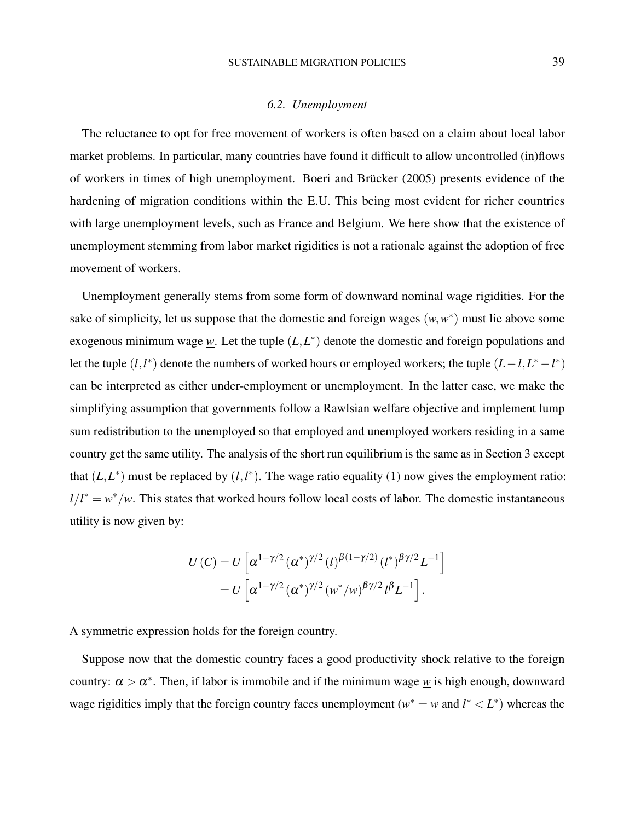### *6.2. Unemployment*

The reluctance to opt for free movement of workers is often based on a claim about local labor market problems. In particular, many countries have found it difficult to allow uncontrolled (in)flows of workers in times of high unemployment. [Boeri and Brücker](#page-41-5) [\(2005\)](#page-41-5) presents evidence of the hardening of migration conditions within the E.U. This being most evident for richer countries with large unemployment levels, such as France and Belgium. We here show that the existence of unemployment stemming from labor market rigidities is not a rationale against the adoption of free movement of workers.

Unemployment generally stems from some form of downward nominal wage rigidities. For the sake of simplicity, let us suppose that the domestic and foreign wages  $(w, w^*)$  must lie above some exogenous minimum wage  $w$ . Let the tuple  $(L, L^*)$  denote the domestic and foreign populations and let the tuple  $(l, l^*)$  denote the numbers of worked hours or employed workers; the tuple  $(L - l, L^* - l^*)$ can be interpreted as either under-employment or unemployment. In the latter case, we make the simplifying assumption that governments follow a Rawlsian welfare objective and implement lump sum redistribution to the unemployed so that employed and unemployed workers residing in a same country get the same utility. The analysis of the short run equilibrium is the same as in Section 3 except that  $(L, L^*)$  must be replaced by  $(l, l^*)$ . The wage ratio equality [\(1\)](#page-10-0) now gives the employment ratio:  $l/l^* = w^*/w$ . This states that worked hours follow local costs of labor. The domestic instantaneous utility is now given by:

$$
U(C) = U \left[ \alpha^{1 - \gamma/2} (\alpha^*)^{\gamma/2} (l)^{\beta(1 - \gamma/2)} (l^*)^{\beta\gamma/2} L^{-1} \right]
$$
  
= 
$$
U \left[ \alpha^{1 - \gamma/2} (\alpha^*)^{\gamma/2} (w^*/w)^{\beta\gamma/2} l^{\beta} L^{-1} \right].
$$

A symmetric expression holds for the foreign country.

Suppose now that the domestic country faces a good productivity shock relative to the foreign country:  $\alpha > \alpha^*$ . Then, if labor is immobile and if the minimum wage <u>w</u> is high enough, downward wage rigidities imply that the foreign country faces unemployment ( $w^* = w$  and  $l^* < L^*$ ) whereas the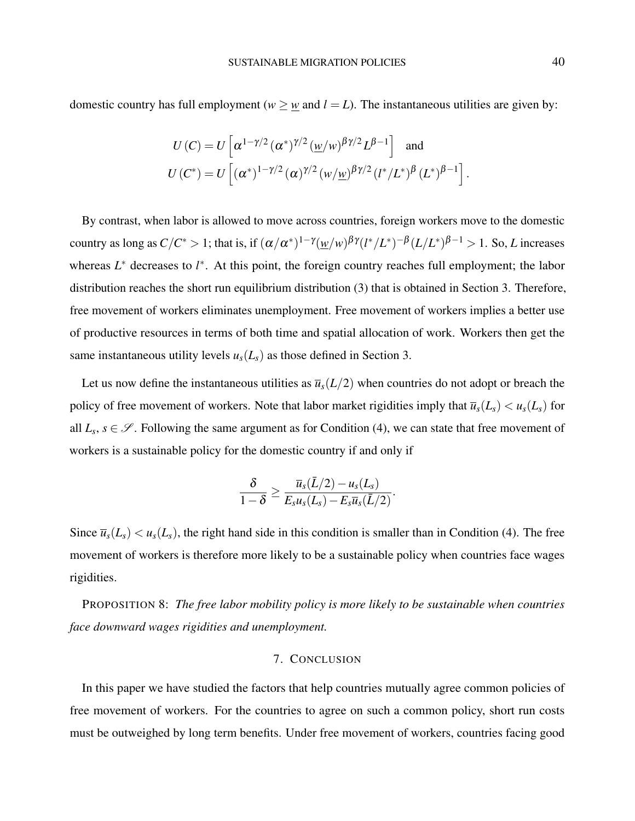domestic country has full employment ( $w \geq w$  and  $l = L$ ). The instantaneous utilities are given by:

$$
U(C) = U\left[\alpha^{1-\gamma/2}(\alpha^*)^{\gamma/2}(\underline{w}/w)^{\beta\gamma/2}L^{\beta-1}\right] \text{ and}
$$
  
 
$$
U(C^*) = U\left[(\alpha^*)^{1-\gamma/2}(\alpha)^{\gamma/2}(w/\underline{w})^{\beta\gamma/2}(l^*/L^*)^{\beta}(L^*)^{\beta-1}\right].
$$

By contrast, when labor is allowed to move across countries, foreign workers move to the domestic country as long as  $C/C^*>1$ ; that is, if  $(\alpha/\alpha^*)^{1-\gamma}(\underline{w}/w)^{\beta\gamma}(l^*/L^*)^{-\beta}(L/L^*)^{\beta-1}>1.$  So, *L* increases whereas  $L^*$  decreases to  $l^*$ . At this point, the foreign country reaches full employment; the labor distribution reaches the short run equilibrium distribution [\(3\)](#page-11-1) that is obtained in Section 3. Therefore, free movement of workers eliminates unemployment. Free movement of workers implies a better use of productive resources in terms of both time and spatial allocation of work. Workers then get the same instantaneous utility levels  $u_s(L_s)$  as those defined in Section 3.

Let us now define the instantaneous utilities as  $\bar{u}_s(L/2)$  when countries do not adopt or breach the policy of free movement of workers. Note that labor market rigidities imply that  $\overline{u}_s(L_s) < u_s(L_s)$  for all  $L_s$ ,  $s \in \mathscr{S}$ . Following the same argument as for Condition [\(4\)](#page-20-1), we can state that free movement of workers is a sustainable policy for the domestic country if and only if

$$
\frac{\delta}{1-\delta} \geq \frac{\overline{u}_s(\overline{L}/2) - u_s(L_s)}{E_s u_s(L_s) - E_s \overline{u}_s(\overline{L}/2)}
$$

.

Since  $\overline{u}_s(L_s) < u_s(L_s)$ , the right hand side in this condition is smaller than in Condition [\(4\)](#page-20-1). The free movement of workers is therefore more likely to be a sustainable policy when countries face wages rigidities.

PROPOSITION 8: *The free labor mobility policy is more likely to be sustainable when countries face downward wages rigidities and unemployment.*

#### 7. CONCLUSION

In this paper we have studied the factors that help countries mutually agree common policies of free movement of workers. For the countries to agree on such a common policy, short run costs must be outweighed by long term benefits. Under free movement of workers, countries facing good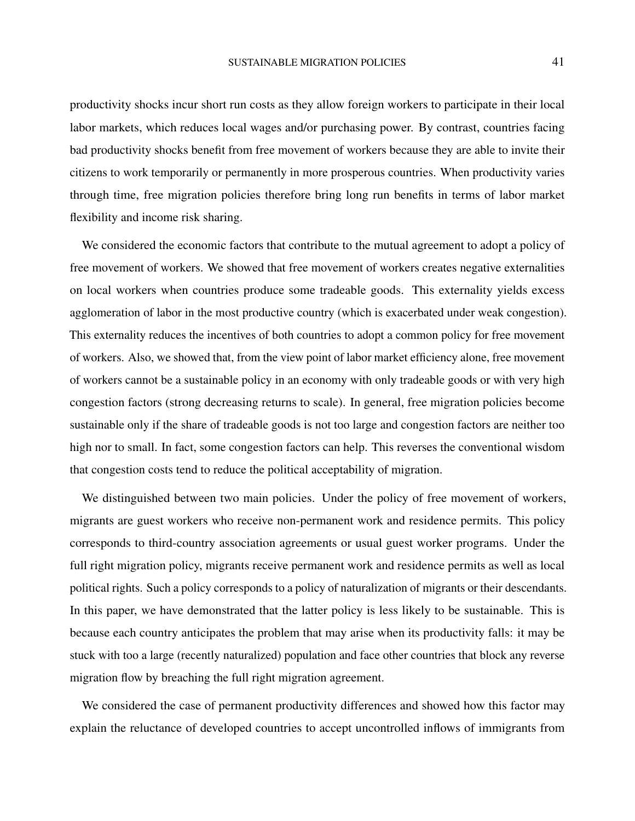productivity shocks incur short run costs as they allow foreign workers to participate in their local labor markets, which reduces local wages and/or purchasing power. By contrast, countries facing bad productivity shocks benefit from free movement of workers because they are able to invite their citizens to work temporarily or permanently in more prosperous countries. When productivity varies through time, free migration policies therefore bring long run benefits in terms of labor market flexibility and income risk sharing.

We considered the economic factors that contribute to the mutual agreement to adopt a policy of free movement of workers. We showed that free movement of workers creates negative externalities on local workers when countries produce some tradeable goods. This externality yields excess agglomeration of labor in the most productive country (which is exacerbated under weak congestion). This externality reduces the incentives of both countries to adopt a common policy for free movement of workers. Also, we showed that, from the view point of labor market efficiency alone, free movement of workers cannot be a sustainable policy in an economy with only tradeable goods or with very high congestion factors (strong decreasing returns to scale). In general, free migration policies become sustainable only if the share of tradeable goods is not too large and congestion factors are neither too high nor to small. In fact, some congestion factors can help. This reverses the conventional wisdom that congestion costs tend to reduce the political acceptability of migration.

We distinguished between two main policies. Under the policy of free movement of workers, migrants are guest workers who receive non-permanent work and residence permits. This policy corresponds to third-country association agreements or usual guest worker programs. Under the full right migration policy, migrants receive permanent work and residence permits as well as local political rights. Such a policy corresponds to a policy of naturalization of migrants or their descendants. In this paper, we have demonstrated that the latter policy is less likely to be sustainable. This is because each country anticipates the problem that may arise when its productivity falls: it may be stuck with too a large (recently naturalized) population and face other countries that block any reverse migration flow by breaching the full right migration agreement.

We considered the case of permanent productivity differences and showed how this factor may explain the reluctance of developed countries to accept uncontrolled inflows of immigrants from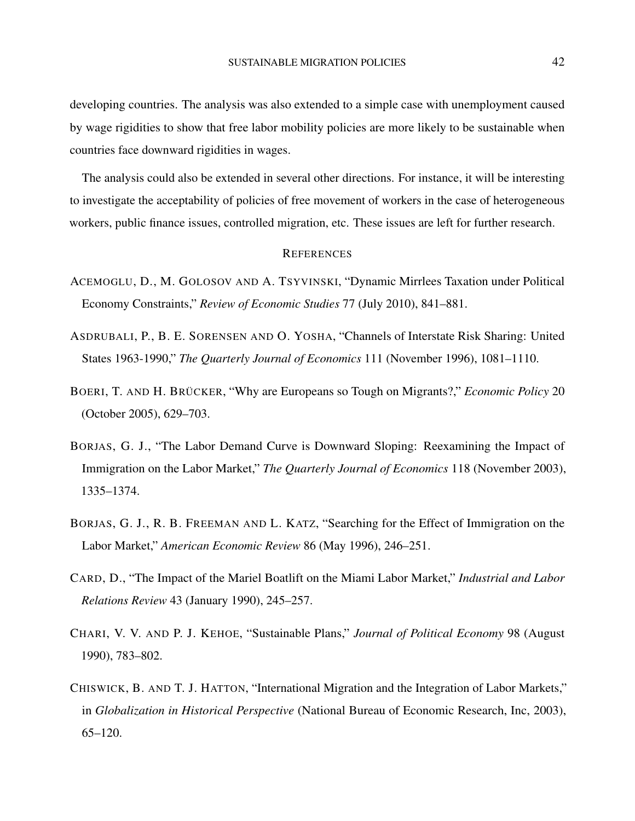developing countries. The analysis was also extended to a simple case with unemployment caused by wage rigidities to show that free labor mobility policies are more likely to be sustainable when countries face downward rigidities in wages.

The analysis could also be extended in several other directions. For instance, it will be interesting to investigate the acceptability of policies of free movement of workers in the case of heterogeneous workers, public finance issues, controlled migration, etc. These issues are left for further research.

### **REFERENCES**

- <span id="page-41-0"></span>ACEMOGLU, D., M. GOLOSOV AND A. TSYVINSKI, "Dynamic Mirrlees Taxation under Political Economy Constraints," *Review of Economic Studies* 77 (July 2010), 841–881.
- <span id="page-41-7"></span>ASDRUBALI, P., B. E. SORENSEN AND O. YOSHA, "Channels of Interstate Risk Sharing: United States 1963-1990," *The Quarterly Journal of Economics* 111 (November 1996), 1081–1110.
- <span id="page-41-5"></span>BOERI, T. AND H. BRÜCKER, "Why are Europeans so Tough on Migrants?," *Economic Policy* 20 (October 2005), 629–703.
- <span id="page-41-2"></span>BORJAS, G. J., "The Labor Demand Curve is Downward Sloping: Reexamining the Impact of Immigration on the Labor Market," *The Quarterly Journal of Economics* 118 (November 2003), 1335–1374.
- <span id="page-41-3"></span>BORJAS, G. J., R. B. FREEMAN AND L. KATZ, "Searching for the Effect of Immigration on the Labor Market," *American Economic Review* 86 (May 1996), 246–251.
- <span id="page-41-4"></span>CARD, D., "The Impact of the Mariel Boatlift on the Miami Labor Market," *Industrial and Labor Relations Review* 43 (January 1990), 245–257.
- <span id="page-41-1"></span>CHARI, V. V. AND P. J. KEHOE, "Sustainable Plans," *Journal of Political Economy* 98 (August 1990), 783–802.
- <span id="page-41-6"></span>CHISWICK, B. AND T. J. HATTON, "International Migration and the Integration of Labor Markets," in *Globalization in Historical Perspective* (National Bureau of Economic Research, Inc, 2003), 65–120.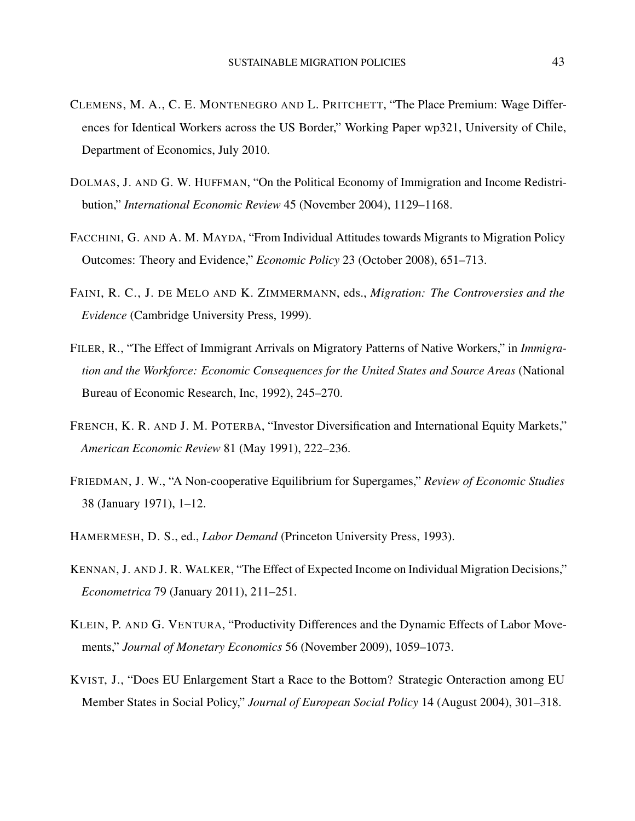- <span id="page-42-0"></span>CLEMENS, M. A., C. E. MONTENEGRO AND L. PRITCHETT, "The Place Premium: Wage Differences for Identical Workers across the US Border," Working Paper wp321, University of Chile, Department of Economics, July 2010.
- <span id="page-42-6"></span>DOLMAS, J. AND G. W. HUFFMAN, "On the Political Economy of Immigration and Income Redistribution," *International Economic Review* 45 (November 2004), 1129–1168.
- <span id="page-42-5"></span>FACCHINI, G. AND A. M. MAYDA, "From Individual Attitudes towards Migrants to Migration Policy Outcomes: Theory and Evidence," *Economic Policy* 23 (October 2008), 651–713.
- <span id="page-42-2"></span>FAINI, R. C., J. DE MELO AND K. ZIMMERMANN, eds., *Migration: The Controversies and the Evidence* (Cambridge University Press, 1999).
- <span id="page-42-3"></span>FILER, R., "The Effect of Immigrant Arrivals on Migratory Patterns of Native Workers," in *Immigration and the Workforce: Economic Consequences for the United States and Source Areas* (National Bureau of Economic Research, Inc, 1992), 245–270.
- <span id="page-42-7"></span>FRENCH, K. R. AND J. M. POTERBA, "Investor Diversification and International Equity Markets," *American Economic Review* 81 (May 1991), 222–236.
- <span id="page-42-10"></span>FRIEDMAN, J. W., "A Non-cooperative Equilibrium for Supergames," *Review of Economic Studies* 38 (January 1971), 1–12.
- <span id="page-42-8"></span>HAMERMESH, D. S., ed., *Labor Demand* (Princeton University Press, 1993).
- <span id="page-42-9"></span>KENNAN, J. AND J. R. WALKER, "The Effect of Expected Income on Individual Migration Decisions," *Econometrica* 79 (January 2011), 211–251.
- <span id="page-42-1"></span>KLEIN, P. AND G. VENTURA, "Productivity Differences and the Dynamic Effects of Labor Movements," *Journal of Monetary Economics* 56 (November 2009), 1059–1073.
- <span id="page-42-4"></span>KVIST, J., "Does EU Enlargement Start a Race to the Bottom? Strategic Onteraction among EU Member States in Social Policy," *Journal of European Social Policy* 14 (August 2004), 301–318.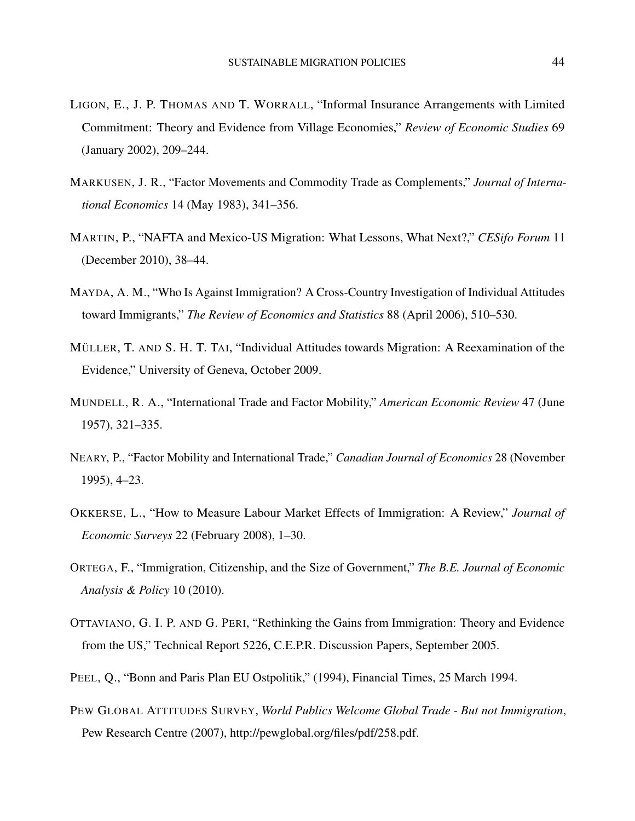- <span id="page-43-1"></span>LIGON, E., J. P. THOMAS AND T. WORRALL, "Informal Insurance Arrangements with Limited Commitment: Theory and Evidence from Village Economies," *Review of Economic Studies* 69 (January 2002), 209–244.
- <span id="page-43-7"></span>MARKUSEN, J. R., "Factor Movements and Commodity Trade as Complements," *Journal of International Economics* 14 (May 1983), 341–356.
- <span id="page-43-11"></span>MARTIN, P., "NAFTA and Mexico-US Migration: What Lessons, What Next?," *CESifo Forum* 11 (December 2010), 38–44.
- <span id="page-43-3"></span>MAYDA, A. M., "Who Is Against Immigration? A Cross-Country Investigation of Individual Attitudes toward Immigrants," *The Review of Economics and Statistics* 88 (April 2006), 510–530.
- <span id="page-43-6"></span>MÜLLER, T. AND S. H. T. TAI, "Individual Attitudes towards Migration: A Reexamination of the Evidence," University of Geneva, October 2009.
- <span id="page-43-4"></span>MUNDELL, R. A., "International Trade and Factor Mobility," *American Economic Review* 47 (June 1957), 321–335.
- <span id="page-43-9"></span>NEARY, P., "Factor Mobility and International Trade," *Canadian Journal of Economics* 28 (November 1995), 4–23.
- <span id="page-43-2"></span>OKKERSE, L., "How to Measure Labour Market Effects of Immigration: A Review," *Journal of Economic Surveys* 22 (February 2008), 1–30.
- <span id="page-43-8"></span>ORTEGA, F., "Immigration, Citizenship, and the Size of Government," *The B.E. Journal of Economic Analysis & Policy* 10 (2010).
- <span id="page-43-0"></span>OTTAVIANO, G. I. P. AND G. PERI, "Rethinking the Gains from Immigration: Theory and Evidence from the US," Technical Report 5226, C.E.P.R. Discussion Papers, September 2005.
- <span id="page-43-10"></span>PEEL, Q., "Bonn and Paris Plan EU Ostpolitik," (1994), Financial Times, 25 March 1994.
- <span id="page-43-5"></span>PEW GLOBAL ATTITUDES SURVEY, *World Publics Welcome Global Trade - But not Immigration*, Pew Research Centre (2007), http://pewglobal.org/files/pdf/258.pdf.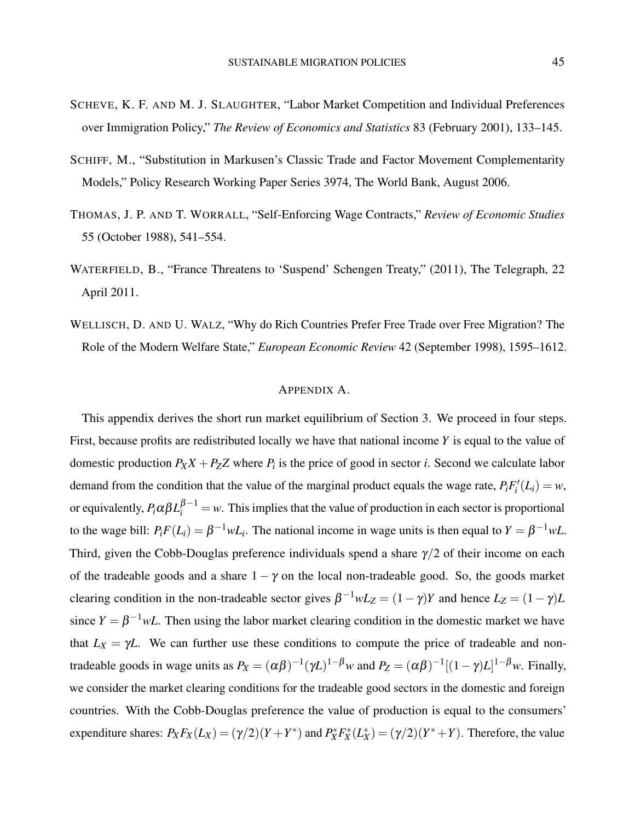- <span id="page-44-1"></span>SCHEVE, K. F. AND M. J. SLAUGHTER, "Labor Market Competition and Individual Preferences over Immigration Policy," *The Review of Economics and Statistics* 83 (February 2001), 133–145.
- <span id="page-44-2"></span>SCHIFF, M., "Substitution in Markusen's Classic Trade and Factor Movement Complementarity Models," Policy Research Working Paper Series 3974, The World Bank, August 2006.
- <span id="page-44-0"></span>THOMAS, J. P. AND T. WORRALL, "Self-Enforcing Wage Contracts," *Review of Economic Studies* 55 (October 1988), 541–554.
- WATERFIELD, B., "France Threatens to 'Suspend' Schengen Treaty," (2011), The Telegraph, 22 April 2011.
- <span id="page-44-4"></span>WELLISCH, D. AND U. WALZ, "Why do Rich Countries Prefer Free Trade over Free Migration? The Role of the Modern Welfare State," *European Economic Review* 42 (September 1998), 1595–1612.

### APPENDIX A.

<span id="page-44-3"></span>This appendix derives the short run market equilibrium of Section 3. We proceed in four steps. First, because profits are redistributed locally we have that national income *Y* is equal to the value of domestic production  $P_X X + P_Z Z$  where  $P_i$  is the price of good in sector *i*. Second we calculate labor demand from the condition that the value of the marginal product equals the wage rate,  $P_i F'_i(L_i) = w$ , or equivalently,  $P_i \alpha \beta L_i^{\beta-1} = w$ . This implies that the value of production in each sector is proportional to the wage bill:  $P_i F(L_i) = \beta^{-1} w L_i$ . The national income in wage units is then equal to  $Y = \beta^{-1} w L$ . Third, given the Cobb-Douglas preference individuals spend a share  $\gamma/2$  of their income on each of the tradeable goods and a share  $1 - \gamma$  on the local non-tradeable good. So, the goods market clearing condition in the non-tradeable sector gives  $\beta^{-1}wL_Z = (1 - \gamma)Y$  and hence  $L_Z = (1 - \gamma)L$ since  $Y = \beta^{-1} wL$ . Then using the labor market clearing condition in the domestic market we have that  $L_X = \gamma L$ . We can further use these conditions to compute the price of tradeable and nontradeable goods in wage units as  $P_X = (\alpha \beta)^{-1} (\gamma L)^{1-\beta} w$  and  $P_Z = (\alpha \beta)^{-1} [(1-\gamma)L]^{1-\beta} w$ . Finally, we consider the market clearing conditions for the tradeable good sectors in the domestic and foreign countries. With the Cobb-Douglas preference the value of production is equal to the consumers' expenditure shares:  $P_X F_X(L_X) = (\gamma/2)(Y + Y^*)$  and  $P_X^* F_X^*(L_X^*) = (\gamma/2)(Y^* + Y)$ . Therefore, the value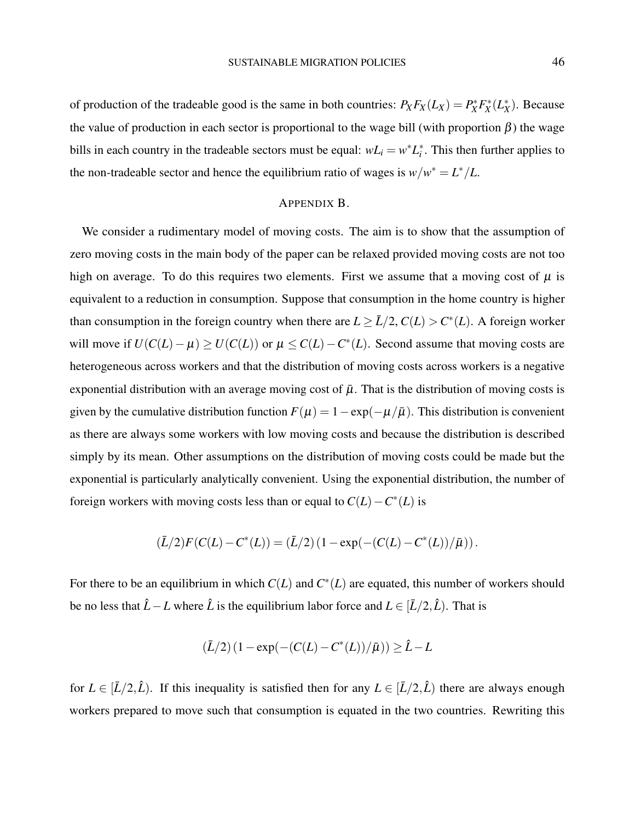of production of the tradeable good is the same in both countries:  $P_X F_X(L_X) = P_X^* F_X^*(L_X^*)$ . Because the value of production in each sector is proportional to the wage bill (with proportion  $\beta$ ) the wage bills in each country in the tradeable sectors must be equal:  $wL_i = w^*L_i^*$ . This then further applies to the non-tradeable sector and hence the equilibrium ratio of wages is  $w/w^* = L^*/L$ .

### APPENDIX B.

<span id="page-45-0"></span>We consider a rudimentary model of moving costs. The aim is to show that the assumption of zero moving costs in the main body of the paper can be relaxed provided moving costs are not too high on average. To do this requires two elements. First we assume that a moving cost of  $\mu$  is equivalent to a reduction in consumption. Suppose that consumption in the home country is higher than consumption in the foreign country when there are  $L \geq \bar{L}/2$ ,  $C(L) > C^*(L)$ . A foreign worker will move if  $U(C(L) - \mu) \ge U(C(L))$  or  $\mu \le C(L) - C^*(L)$ . Second assume that moving costs are heterogeneous across workers and that the distribution of moving costs across workers is a negative exponential distribution with an average moving cost of  $\bar{\mu}$ . That is the distribution of moving costs is given by the cumulative distribution function  $F(\mu) = 1 - \exp(-\mu/\bar{\mu})$ . This distribution is convenient as there are always some workers with low moving costs and because the distribution is described simply by its mean. Other assumptions on the distribution of moving costs could be made but the exponential is particularly analytically convenient. Using the exponential distribution, the number of foreign workers with moving costs less than or equal to  $C(L) - C^*(L)$  is

$$
(\bar{L}/2)F(C(L) - C^{*}(L)) = (\bar{L}/2) (1 - \exp(-(C(L) - C^{*}(L))/\bar{\mu})).
$$

For there to be an equilibrium in which  $C(L)$  and  $C^*(L)$  are equated, this number of workers should be no less that  $\hat{L} - L$  where  $\hat{L}$  is the equilibrium labor force and  $L \in [\bar{L}/2, \hat{L})$ . That is

$$
(\bar{L}/2) (1 - \exp(-(C(L) - C^*(L))/\bar{\mu})) \ge \hat{L} - L
$$

for  $L \in [\bar{L}/2, \hat{L})$ . If this inequality is satisfied then for any  $L \in [\bar{L}/2, \hat{L})$  there are always enough workers prepared to move such that consumption is equated in the two countries. Rewriting this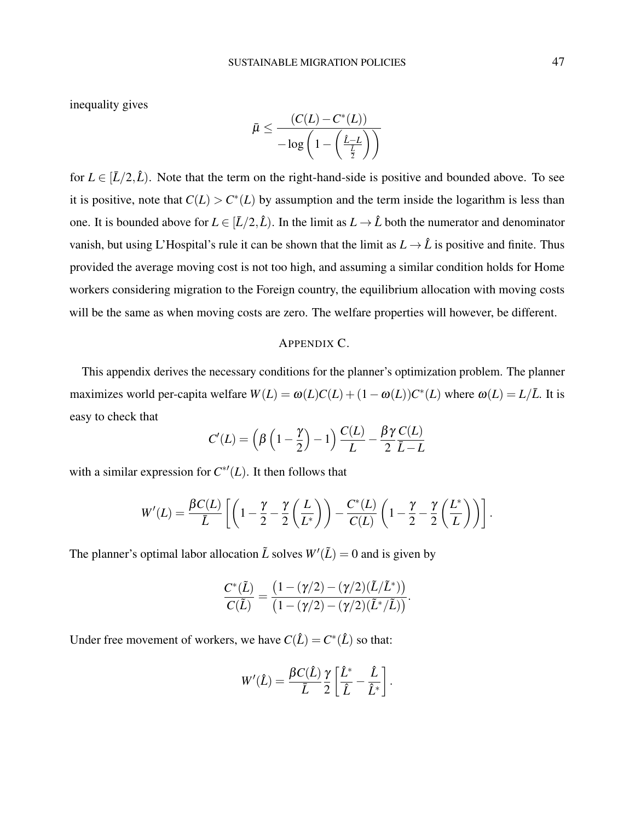inequality gives

$$
\bar{\mu} \leq \frac{(C(L) - C^*(L))}{-\log\left(1 - \left(\frac{\hat{L} - L}{\frac{\bar{L}}{2}}\right)\right)}
$$

for  $L \in [L/2, \hat{L})$ . Note that the term on the right-hand-side is positive and bounded above. To see it is positive, note that  $C(L) > C^*(L)$  by assumption and the term inside the logarithm is less than one. It is bounded above for  $L \in [L/2, \hat{L})$ . In the limit as  $L \to \hat{L}$  both the numerator and denominator vanish, but using L'Hospital's rule it can be shown that the limit as  $L \to \hat{L}$  is positive and finite. Thus provided the average moving cost is not too high, and assuming a similar condition holds for Home workers considering migration to the Foreign country, the equilibrium allocation with moving costs will be the same as when moving costs are zero. The welfare properties will however, be different.

### APPENDIX C.

<span id="page-46-0"></span>This appendix derives the necessary conditions for the planner's optimization problem. The planner maximizes world per-capita welfare  $W(L) = \omega(L)C(L) + (1 - \omega(L))C^*(L)$  where  $\omega(L) = L/\overline{L}$ . It is easy to check that

$$
C'(L) = \left(\beta \left(1 - \frac{\gamma}{2}\right) - 1\right) \frac{C(L)}{L} - \frac{\beta \gamma}{2} \frac{C(L)}{\bar{L} - L}
$$

with a similar expression for  $C^{*'}(L)$ . It then follows that

$$
W'(L) = \frac{\beta C(L)}{\bar{L}} \left[ \left( 1 - \frac{\gamma}{2} - \frac{\gamma}{2} \left( \frac{L}{L^*} \right) \right) - \frac{C^*(L)}{C(L)} \left( 1 - \frac{\gamma}{2} - \frac{\gamma}{2} \left( \frac{L^*}{L} \right) \right) \right].
$$

The planner's optimal labor allocation  $\tilde{L}$  solves  $W'(\tilde{L}) = 0$  and is given by

$$
\frac{C^*(\tilde{L})}{C(\tilde{L})} = \frac{\left(1 - (\gamma/2) - (\gamma/2)(\tilde{L}/\tilde{L}^*)\right)}{\left(1 - (\gamma/2) - (\gamma/2)(\tilde{L}^*/\tilde{L})\right)}.
$$

Under free movement of workers, we have  $C(\hat{L}) = C^*(\hat{L})$  so that:

$$
W'(\hat{L}) = \frac{\beta C(\hat{L})}{\bar{L}} \frac{\gamma}{2} \left[ \frac{\hat{L}^*}{\hat{L}} - \frac{\hat{L}}{\hat{L}^*} \right].
$$